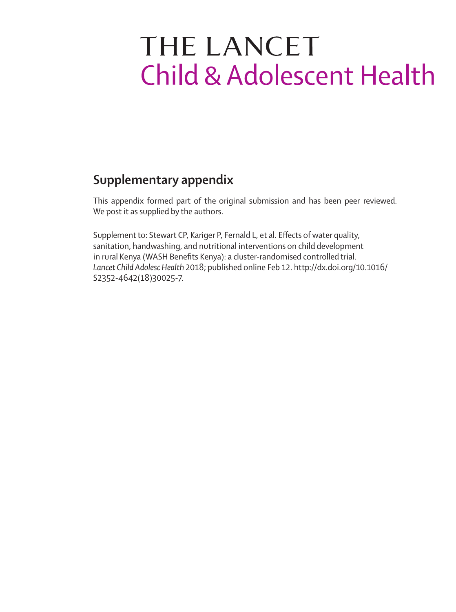# THE LANCET **Child & Adolescent Health**

# **Supplementary appendix**

This appendix formed part of the original submission and has been peer reviewed. We post it as supplied by the authors.

Supplement to: Stewart CP, Kariger P, Fernald L, et al. Effects of water quality, sanitation, handwashing, and nutritional interventions on child development in rural Kenya (WASH Benefits Kenya): a cluster-randomised controlled trial. *Lancet Child Adolesc Health* 2018; published online Feb 12. http://dx.doi.org/10.1016/ S2352-4642(18)30025-7.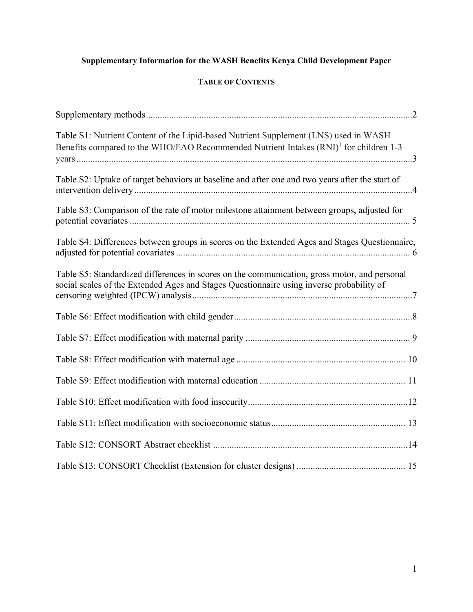## **Supplementary Information for the WASH Benefits Kenya Child Development Paper**

### **TABLE OF CONTENTS**

| Table S1: Nutrient Content of the Lipid-based Nutrient Supplement (LNS) used in WASH<br>Benefits compared to the WHO/FAO Recommended Nutrient Intakes (RNI) <sup>1</sup> for children 1-3 |
|-------------------------------------------------------------------------------------------------------------------------------------------------------------------------------------------|
| Table S2: Uptake of target behaviors at baseline and after one and two years after the start of                                                                                           |
| Table S3: Comparison of the rate of motor milestone attainment between groups, adjusted for                                                                                               |
| Table S4: Differences between groups in scores on the Extended Ages and Stages Questionnaire,                                                                                             |
| Table S5: Standardized differences in scores on the communication, gross motor, and personal<br>social scales of the Extended Ages and Stages Questionnaire using inverse probability of  |
|                                                                                                                                                                                           |
|                                                                                                                                                                                           |
|                                                                                                                                                                                           |
|                                                                                                                                                                                           |
|                                                                                                                                                                                           |
|                                                                                                                                                                                           |
|                                                                                                                                                                                           |
|                                                                                                                                                                                           |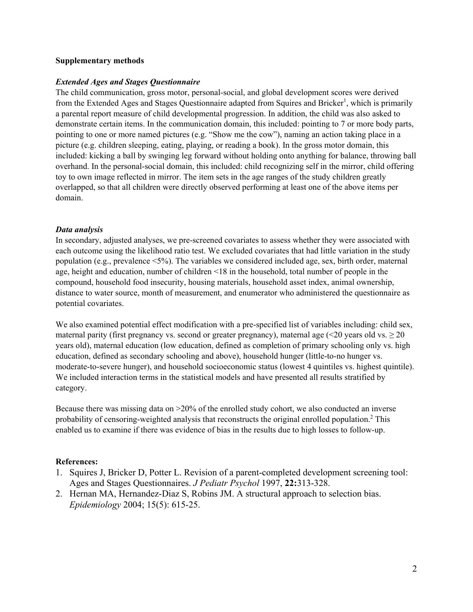#### **Supplementary methods**

#### *Extended Ages and Stages Questionnaire*

The child communication, gross motor, personal-social, and global development scores were derived from the Extended Ages and Stages Questionnaire adapted from Squires and Bricker<sup>1</sup>, which is primarily a parental report measure of child developmental progression. In addition, the child was also asked to demonstrate certain items. In the communication domain, this included: pointing to 7 or more body parts, pointing to one or more named pictures (e.g. "Show me the cow"), naming an action taking place in a picture (e.g. children sleeping, eating, playing, or reading a book). In the gross motor domain, this included: kicking a ball by swinging leg forward without holding onto anything for balance, throwing ball overhand. In the personal-social domain, this included: child recognizing self in the mirror, child offering toy to own image reflected in mirror. The item sets in the age ranges of the study children greatly overlapped, so that all children were directly observed performing at least one of the above items per domain.

#### *Data analysis*

In secondary, adjusted analyses, we pre‐screened covariates to assess whether they were associated with each outcome using the likelihood ratio test. We excluded covariates that had little variation in the study population (e.g., prevalence  $\langle 5\% \rangle$ ). The variables we considered included age, sex, birth order, maternal age, height and education, number of children <18 in the household, total number of people in the compound, household food insecurity, housing materials, household asset index, animal ownership, distance to water source, month of measurement, and enumerator who administered the questionnaire as potential covariates.

We also examined potential effect modification with a pre-specified list of variables including: child sex, maternal parity (first pregnancy vs. second or greater pregnancy), maternal age ( $\leq$ 20 years old vs.  $\geq$ 20 years old), maternal education (low education, defined as completion of primary schooling only vs. high education, defined as secondary schooling and above), household hunger (little‐to‐no hunger vs. moderate-to-severe hunger), and household socioeconomic status (lowest 4 quintiles vs. highest quintile). We included interaction terms in the statistical models and have presented all results stratified by category.

Because there was missing data on >20% of the enrolled study cohort, we also conducted an inverse probability of censoring-weighted analysis that reconstructs the original enrolled population.<sup>2</sup> This enabled us to examine if there was evidence of bias in the results due to high losses to follow-up.

#### **References:**

- 1. Squires J, Bricker D, Potter L. Revision of a parent-completed development screening tool: Ages and Stages Questionnaires. *J Pediatr Psychol* 1997, **22:**313-328.
- 2. Hernan MA, Hernandez-Diaz S, Robins JM. A structural approach to selection bias. *Epidemiology* 2004; 15(5): 615-25.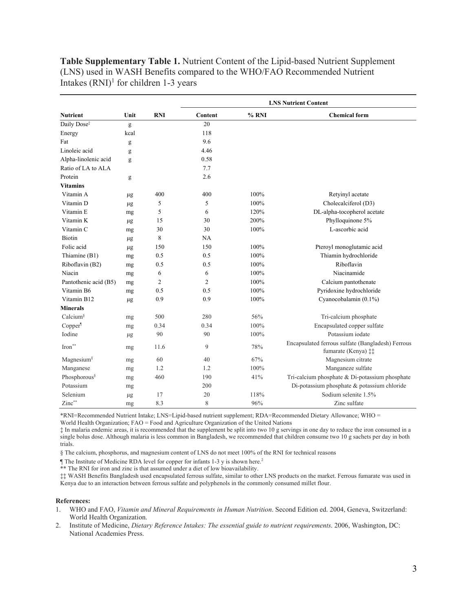**Table Supplementary Table 1.** Nutrient Content of the Lipid-based Nutrient Supplement (LNS) used in WASH Benefits compared to the WHO/FAO Recommended Nutrient Intakes  $(RNI)^1$  for children 1-3 years

|                          |         |            | <b>LNS Nutrient Content</b> |       |                                                                          |  |  |  |
|--------------------------|---------|------------|-----------------------------|-------|--------------------------------------------------------------------------|--|--|--|
| <b>Nutrient</b>          | Unit    | <b>RNI</b> | Content                     | % RNI | <b>Chemical form</b>                                                     |  |  |  |
| Daily Dose <sup>#</sup>  | g       |            | 20                          |       |                                                                          |  |  |  |
| Energy                   | kcal    |            | 118                         |       |                                                                          |  |  |  |
| Fat                      | g       |            | 9.6                         |       |                                                                          |  |  |  |
| Linoleic acid            | g       |            | 4.46                        |       |                                                                          |  |  |  |
| Alpha-linolenic acid     | g       |            | 0.58                        |       |                                                                          |  |  |  |
| Ratio of LA to ALA       |         |            | 7.7                         |       |                                                                          |  |  |  |
| Protein                  | g       |            | 2.6                         |       |                                                                          |  |  |  |
| Vitamins                 |         |            |                             |       |                                                                          |  |  |  |
| Vitamin A                | μg      | 400        | 400                         | 100%  | Retyinyl acetate                                                         |  |  |  |
| Vitamin D                | μg      | 5          | 5                           | 100%  | Cholecalciferol (D3)                                                     |  |  |  |
| Vitamin E                | mg      | 5          | 6                           | 120%  | DL-alpha-tocopherol acetate                                              |  |  |  |
| Vitamin K                | $\mu$ g | 15         | 30                          | 200%  | Phylloquinone 5%                                                         |  |  |  |
| Vitamin <sub>C</sub>     | mg      | 30         | 30                          | 100%  | L-ascorbic acid                                                          |  |  |  |
| <b>Biotin</b>            | μg      | 8          | NA                          |       |                                                                          |  |  |  |
| Folic acid               | μg      | 150        | 150                         | 100%  | Pteroyl monoglutamic acid                                                |  |  |  |
| Thiamine (B1)            | mg      | 0.5        | 0.5                         | 100%  | Thiamin hydrochloride                                                    |  |  |  |
| Riboflavin (B2)          | mg      | 0.5        | 0.5                         | 100%  | Riboflavin                                                               |  |  |  |
| Niacin                   | mg      | 6          | 6                           | 100%  | Niacinamide                                                              |  |  |  |
| Pantothenic acid (B5)    | mg      | 2          | $\overline{c}$              | 100%  | Calcium pantothenate                                                     |  |  |  |
| Vitamin B6               | mg      | 0.5        | 0.5                         | 100%  | Pyridoxine hydrochloride                                                 |  |  |  |
| Vitamin B12              | $\mu$ g | 0.9        | 0.9                         | 100%  | Cyanocobalamin (0.1%)                                                    |  |  |  |
| <b>Minerals</b>          |         |            |                             |       |                                                                          |  |  |  |
| Calcium <sup>§</sup>     | mg      | 500        | 280                         | 56%   | Tri-calcium phosphate                                                    |  |  |  |
| Copper <sup>1</sup>      | mg      | 0.34       | 0.34                        | 100%  | Encapsulated copper sulfate                                              |  |  |  |
| Iodine                   | $\mu$ g | 90         | 90                          | 100%  | Potassium iodate                                                         |  |  |  |
| $Iron***$                | mg      | 11.6       | 9                           | 78%   | Encapsulated ferrous sulfate (Bangladesh) Ferrous<br>fumarate (Kenya) ‡‡ |  |  |  |
| Magnesium <sup>§</sup>   | mg      | 60         | 40                          | 67%   | Magnesium citrate                                                        |  |  |  |
| Manganese                | mg      | 1.2        | 1.2                         | 100%  | Manganeze sulfate                                                        |  |  |  |
| Phosphorous <sup>§</sup> | mg      | 460        | 190                         | 41%   | Tri-calcium phosphate & Di-potassium phosphate                           |  |  |  |
| Potassium                | mg      |            | 200                         |       | Di-potassium phosphate & potassium chloride                              |  |  |  |
| Selenium                 | $\mu$ g | 17         | 20                          | 118%  | Sodium selenite 1.5%                                                     |  |  |  |
| Zinc**                   | mg      | 8.3        | 8                           | 96%   | Zinc sulfate                                                             |  |  |  |

\*RNI=Recommended Nutrient Intake; LNS=Lipid-based nutrient supplement; RDA=Recommended Dietary Allowance; WHO =

World Health Organization; FAO = Food and Agriculture Organization of the United Nations

‡ In malaria endemic areas, it is recommended that the supplement be split into two 10 g servings in one day to reduce the iron consumed in a single bolus dose. Although malaria is less common in Bangladesh, we recommended that children consume two 10 g sachets per day in both trials.

§ The calcium, phosphorus, and magnesium content of LNS do not meet 100% of the RNI for technical reasons

The Institute of Medicine RDA level for copper for infants 1-3 y is shown here.<sup>2</sup>

\*\* The RNI for iron and zinc is that assumed under a diet of low bioavailability.

‡‡ WASH Benefits Bangladesh used encapsulated ferrous sulfate, similar to other LNS products on the market. Ferrous fumarate was used in Kenya due to an interaction between ferrous sulfate and polyphenols in the commonly consumed millet flour.

#### **References:**

- 1. WHO and FAO, *Vitamin and Mineral Requirements in Human Nutrition*. Second Edition ed. 2004, Geneva, Switzerland: World Health Organization.
- 2. Institute of Medicine, *Dietary Reference Intakes: The essential guide to nutrient requirements*. 2006, Washington, DC: National Academies Press.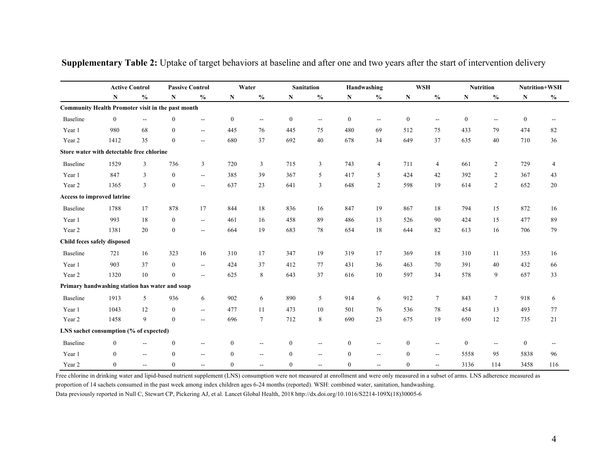|                                                   |                  | <b>Active Control</b>    |                  | <b>Passive Control</b>   | Water            |                          |                  | <b>Sanitation</b>                  |                  | Handwashing              |                  | <b>WSH</b>               |                  | <b>Nutrition</b> |                  | Nutrition+WSH            |
|---------------------------------------------------|------------------|--------------------------|------------------|--------------------------|------------------|--------------------------|------------------|------------------------------------|------------------|--------------------------|------------------|--------------------------|------------------|------------------|------------------|--------------------------|
|                                                   | ${\bf N}$        | $\frac{0}{0}$            | N                | $\frac{0}{0}$            | ${\bf N}$        | $\frac{0}{0}$            | N                | $\mathbf{0}_{\mathbf{0}}^{\prime}$ | ${\bf N}$        | $\frac{0}{0}$            | N                | $\frac{0}{0}$            | $\mathbf N$      | $\frac{0}{0}$    | ${\bf N}$        | $\frac{0}{0}$            |
| Community Health Promoter visit in the past month |                  |                          |                  |                          |                  |                          |                  |                                    |                  |                          |                  |                          |                  |                  |                  |                          |
| Baseline                                          | $\mathbf{0}$     | $\qquad \qquad -$        | $\theta$         | н.                       | $\mathbf{0}$     | $\overline{\phantom{a}}$ | $\boldsymbol{0}$ | $\overline{\phantom{a}}$           | $\boldsymbol{0}$ | $\overline{\phantom{a}}$ | $\boldsymbol{0}$ | $\overline{\phantom{a}}$ | $\boldsymbol{0}$ | $\sim$           | $\mathbf{0}$     | $\overline{\phantom{a}}$ |
| Year 1                                            | 980              | 68                       | $\mathbf{0}$     | $\overline{\phantom{a}}$ | 445              | 76                       | 445              | 75                                 | 480              | 69                       | 512              | 75                       | 433              | 79               | 474              | 82                       |
| Year 2                                            | 1412             | 35                       | $\mathbf{0}$     | $\overline{\phantom{a}}$ | 680              | 37                       | 692              | 40                                 | 678              | 34                       | 649              | 37                       | 635              | 40               | 710              | 36                       |
| Store water with detectable free chlorine         |                  |                          |                  |                          |                  |                          |                  |                                    |                  |                          |                  |                          |                  |                  |                  |                          |
| Baseline                                          | 1529             | 3                        | 736              | $\mathfrak{Z}$           | 720              | 3                        | 715              | 3                                  | 743              | $\overline{4}$           | 711              | $\overline{4}$           | 661              | $\overline{2}$   | 729              | $\overline{4}$           |
| Year 1                                            | 847              | 3                        | $\theta$         | н.                       | 385              | 39                       | 367              | 5                                  | 417              | 5                        | 424              | 42                       | 392              | 2                | 367              | 43                       |
| Year 2                                            | 1365             | 3                        | $\mathbf{0}$     | $\overline{a}$           | 637              | 23                       | 641              | 3                                  | 648              | $\overline{2}$           | 598              | 19                       | 614              | $\overline{2}$   | 652              | 20                       |
| Access to improved latrine                        |                  |                          |                  |                          |                  |                          |                  |                                    |                  |                          |                  |                          |                  |                  |                  |                          |
| Baseline                                          | 1788             | 17                       | 878              | 17                       | 844              | 18                       | 836              | 16                                 | 847              | 19                       | 867              | 18                       | 794              | 15               | 872              | 16                       |
| Year 1                                            | 993              | 18                       | $\mathbf{0}$     | ÷-                       | 461              | 16                       | 458              | 89                                 | 486              | 13                       | 526              | 90                       | 424              | 15               | 477              | 89                       |
| Year 2                                            | 1381             | 20                       | $\theta$         | $\overline{\phantom{a}}$ | 664              | 19                       | 683              | 78                                 | 654              | 18                       | 644              | 82                       | 613              | 16               | 706              | 79                       |
| Child feces safely disposed                       |                  |                          |                  |                          |                  |                          |                  |                                    |                  |                          |                  |                          |                  |                  |                  |                          |
| Baseline                                          | 721              | 16                       | 323              | 16                       | 310              | 17                       | 347              | 19                                 | 319              | 17                       | 369              | 18                       | 310              | 11               | 353              | 16                       |
| Year 1                                            | 903              | 37                       | $\mathbf{0}$     | ÷÷.                      | 424              | 37                       | 412              | 77                                 | 431              | 36                       | 463              | 70                       | 391              | 40               | 432              | 66                       |
| Year 2                                            | 1320             | 10                       | $\mathbf{0}$     | $\overline{a}$           | 625              | 8                        | 643              | 37                                 | 616              | 10                       | 597              | 34                       | 578              | 9                | 657              | 33                       |
| Primary handwashing station has water and soap    |                  |                          |                  |                          |                  |                          |                  |                                    |                  |                          |                  |                          |                  |                  |                  |                          |
| Baseline                                          | 1913             | 5                        | 936              | 6                        | 902              | 6                        | 890              | 5                                  | 914              | 6                        | 912              | $\tau$                   | 843              | $\tau$           | 918              | 6                        |
| Year 1                                            | 1043             | 12                       | $\mathbf{0}$     | н.                       | 477              | 11                       | 473              | $10\,$                             | 501              | 76                       | 536              | 78                       | 454              | 13               | 493              | 77                       |
| Year 2                                            | 1458             | 9                        | $\boldsymbol{0}$ | $\overline{\phantom{a}}$ | 696              | $7\phantom{.0}$          | 712              | 8                                  | 690              | 23                       | 675              | 19                       | 650              | 12               | 735              | 21                       |
| LNS sachet consumption (% of expected)            |                  |                          |                  |                          |                  |                          |                  |                                    |                  |                          |                  |                          |                  |                  |                  |                          |
| Baseline                                          | $\boldsymbol{0}$ |                          | $\boldsymbol{0}$ | --                       | $\boldsymbol{0}$ | $\overline{\phantom{m}}$ | $\mathbf{0}$     | $\overline{\phantom{a}}$           | $\bf{0}$         |                          | $\boldsymbol{0}$ | $\overline{\phantom{a}}$ | $\boldsymbol{0}$ | --               | $\boldsymbol{0}$ | $\overline{\phantom{a}}$ |
| Year 1                                            | $\overline{0}$   | $\overline{\phantom{a}}$ | $\mathbf{0}$     | $\overline{\phantom{a}}$ | $\overline{0}$   | $\mathbf{u}$             | $\mathbf{0}$     | $\overline{\phantom{m}}$           | $\mathbf{0}$     | $\overline{\phantom{a}}$ | $\mathbf{0}$     | $\overline{\phantom{a}}$ | 5558             | 95               | 5838             | 96                       |
| Year 2                                            | $\mathbf{0}$     | $-$                      | $\mathbf{0}$     | $\overline{\phantom{a}}$ | $\mathbf{0}$     | $\mathbf{u}$             | $\mathbf{0}$     | --                                 | $\mathbf{0}$     | $\overline{\phantom{a}}$ | $\mathbf{0}$     | $\overline{\phantom{a}}$ | 3136             | 114              | 3458             | 116                      |

**Supplementary Table 2:** Uptake of target behaviors at baseline and after one and two years after the start of intervention delivery

Free chlorine in drinking water and lipid-based nutrient supplement (LNS) consumption were not measured at enrollment and were only measured in a subset of arms. LNS adherence measured as proportion of 14 sachets consumed in the past week among index children ages 6-24 months (reported). WSH: combined water, sanitation, handwashing

Data previously reported in Null C, Stewart CP, Pickering AJ, et al. Lancet Global Health, 2018 http://dx.doi.org/10.1016/S2214-109X(18)30005-6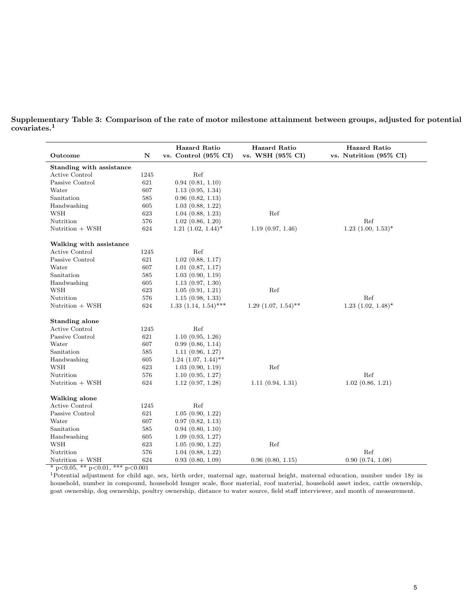| Outcome                  | $\mathbf N$ | <b>Hazard Ratio</b><br>vs. Control (95% CI) | <b>Hazard Ratio</b><br>vs. WSH (95% CI) | <b>Hazard Ratio</b><br>vs. Nutrition (95% CI) |
|--------------------------|-------------|---------------------------------------------|-----------------------------------------|-----------------------------------------------|
| Standing with assistance |             |                                             |                                         |                                               |
| Active Control           | 1245        | Ref                                         |                                         |                                               |
| Passive Control          | 621         | 0.94(0.81, 1.10)                            |                                         |                                               |
| Water                    | 607         | 1.13(0.95, 1.34)                            |                                         |                                               |
| Sanitation               | 585         | $0.96$ $(0.82, 1.13)$                       |                                         |                                               |
| Handwashing              | 605         | 1.03(0.88, 1.22)                            |                                         |                                               |
| <b>WSH</b>               | 623         | 1.04(0.88, 1.23)                            | Ref                                     |                                               |
| Nutrition                | 576         | 1.02(0.86, 1.20)                            |                                         | $\operatorname{Ref}$                          |
| Nutrition + WSH          | 624         | $1.21$ $(1.02, 1.44)^*$                     | 1.19(0.97, 1.46)                        | $1.23$ $(1.00, 1.53)^*$                       |
| Walking with assistance  |             |                                             |                                         |                                               |
| Active Control           | 1245        | Ref                                         |                                         |                                               |
| Passive Control          | 621         | $1.02$ $(0.88, 1.17)$                       |                                         |                                               |
| Water                    | 607         | $1.01$ $(0.87, 1.17)$                       |                                         |                                               |
| Sanitation               | 585         | 1.03(0.90, 1.19)                            |                                         |                                               |
| Handwashing              | 605         | 1.13(0.97, 1.30)                            |                                         |                                               |
| <b>WSH</b>               | 623         | 1.05(0.91, 1.21)                            | Ref                                     |                                               |
| Nutrition                | 576         | 1.15(0.98, 1.33)                            |                                         | Ref                                           |
| Nutrition + WSH          | 624         | $1.33$ $(1.14, 1.54)$ ***                   | $1.29$ $(1.07, 1.54)$ **                | $1.23$ $(1.02, 1.48)^*$                       |
| Standing alone           |             |                                             |                                         |                                               |
| Active Control           | 1245        | Ref                                         |                                         |                                               |
| Passive Control          | 621         | 1.10(0.95, 1.26)                            |                                         |                                               |
| Water                    | 607         | 0.99(0.86, 1.14)                            |                                         |                                               |
| Sanitation               | 585         | 1.11(0.96, 1.27)                            |                                         |                                               |
| Handwashing              | 605         | $1.24$ $(1.07, 1.44)$ **                    |                                         |                                               |
| <b>WSH</b>               | 623         | 1.03(0.90, 1.19)                            | $\operatorname{Ref}$                    |                                               |
| Nutrition                | 576         | 1.10(0.95, 1.27)                            |                                         | Ref                                           |
| Nutrition + WSH          | 624         | 1.12(0.97, 1.28)                            | 1.11(0.94, 1.31)                        | 1.02(0.86, 1.21)                              |
| Walking alone            |             |                                             |                                         |                                               |
| Active Control           | 1245        | Ref                                         |                                         |                                               |
| Passive Control          | 621         | 1.05(0.90, 1.22)                            |                                         |                                               |
| Water                    | 607         | $0.97$ $(0.82, 1.13)$                       |                                         |                                               |
| Sanitation               | 585         | $0.94$ $(0.80, 1.10)$                       |                                         |                                               |
| Handwashing              | 605         | 1.09(0.93, 1.27)                            |                                         |                                               |
| <b>WSH</b>               | 623         | 1.05(0.90, 1.22)                            | Ref                                     |                                               |
| Nutrition                | 576         | 1.04(0.88, 1.22)                            |                                         | Ref                                           |
| Nutrition + WSH          | 624         | 0.93(0.80, 1.09)                            | 0.96(0.80, 1.15)                        | 0.90(0.74, 1.08)                              |

Supplementary Table 3: Comparison of the rate of motor milestone attainment between groups, adjusted for potential covariates.<sup>1</sup>

\* p*<*0.05, \*\* p*<*0.01, \*\*\* p*<*0.001

<sup>1</sup>Potential adjustment for child age, sex, birth order, maternal age, maternal height, maternal education, number under 18y in household, number in compound, household hunger scale, floor material, roof material, household asset index, cattle ownership, goat ownership, dog ownership, poultry ownership, distance to water source, field staff interviewer, and month of measurement.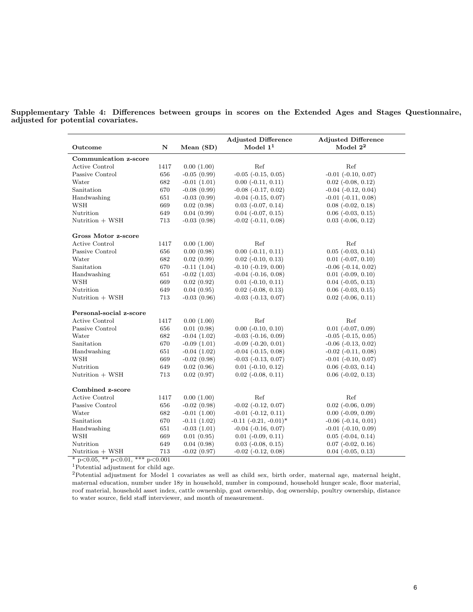Supplementary Table 4: Differences between groups in scores on the Extended Ages and Stages Questionnaire, adjusted for potential covariates.

| Outcome                 | ${\bf N}$ | Mean (SD)     | <b>Adjusted Difference</b><br>Model $11$ | <b>Adjusted Difference</b><br>Model $2^2$ |
|-------------------------|-----------|---------------|------------------------------------------|-------------------------------------------|
| Communication z-score   |           |               |                                          |                                           |
| <b>Active Control</b>   | 1417      | 0.00(1.00)    | Ref                                      | Ref                                       |
| Passive Control         | 656       | $-0.05(0.99)$ | $-0.05$ $(-0.15, 0.05)$                  | $-0.01$ $(-0.10, 0.07)$                   |
| Water                   | 682       | $-0.01(1.01)$ | $0.00$ $(-0.11, 0.11)$                   | $0.02$ ( $-0.08$ , $0.12$ )               |
| Sanitation              | 670       | $-0.08(0.99)$ | $-0.08$ $(-0.17, 0.02)$                  | $-0.04$ $(-0.12, 0.04)$                   |
| Handwashing             | 651       | $-0.03(0.99)$ | $-0.04$ $(-0.15, 0.07)$                  | $-0.01$ $(-0.11, 0.08)$                   |
| <b>WSH</b>              | 669       | 0.02(0.98)    | $0.03$ ( $-0.07$ , $0.14$ )              | $0.08$ ( $-0.02$ , $0.18$ )               |
| Nutrition               | 649       | 0.04(0.99)    | $0.04$ ( $-0.07$ , $0.15$ )              | $0.06$ ( $-0.03$ , $0.15$ )               |
| Nutrition + WSH         | 713       | $-0.03(0.98)$ | $-0.02$ $(-0.11, 0.08)$                  | $0.03$ $(-0.06, 0.12)$                    |
| Gross Motor z-score     |           |               |                                          |                                           |
| Active Control          | 1417      | 0.00(1.00)    | Ref                                      | Ref                                       |
| Passive Control         | 656       | 0.00(0.98)    | $0.00$ $(-0.11, 0.11)$                   | $0.05$ ( $-0.03$ , $0.14$ )               |
| Water                   | 682       | 0.02(0.99)    | $0.02$ ( $-0.10$ , $0.13$ )              | $0.01$ $(-0.07, 0.10)$                    |
| Sanitation              | 670       | $-0.11(1.04)$ | $-0.10$ $(-0.19, 0.00)$                  | $-0.06$ $(-0.14, 0.02)$                   |
| Handwashing             | 651       | $-0.02(1.03)$ | $-0.04$ $(-0.16, 0.08)$                  | $0.01$ $(-0.09, 0.10)$                    |
| <b>WSH</b>              | 669       | 0.02(0.92)    | $0.01$ $(-0.10, 0.11)$                   | $0.04$ ( $-0.05$ , $0.13$ )               |
| Nutrition               | 649       | 0.04(0.95)    | $0.02$ ( $-0.08$ , $0.13$ )              | $0.06$ ( $-0.03$ , $0.15$ )               |
| Nutrition + WSH         | 713       | $-0.03(0.96)$ | $-0.03$ $(-0.13, 0.07)$                  | $0.02$ ( $-0.06$ , $0.11$ )               |
| Personal-social z-score |           |               |                                          |                                           |
| Active Control          | 1417      | 0.00(1.00)    | Ref                                      | Ref                                       |
| Passive Control         | 656       | 0.01(0.98)    | $0.00$ $(-0.10, 0.10)$                   | $0.01$ ( $-0.07, 0.09$ )                  |
| Water                   | 682       | $-0.04(1.02)$ | $-0.03$ $(-0.16, 0.09)$                  | $-0.05$ $(-0.15, 0.05)$                   |
| Sanitation              | 670       | $-0.09(1.01)$ | $-0.09$ $(-0.20, 0.01)$                  | $-0.06$ $(-0.13, 0.02)$                   |
| Handwashing             | 651       | $-0.04(1.02)$ | $-0.04$ $(-0.15, 0.08)$                  | $-0.02$ $(-0.11, 0.08)$                   |
| <b>WSH</b>              | 669       | $-0.02(0.98)$ | $-0.03$ $(-0.13, 0.07)$                  | $-0.01$ $(-0.10, 0.07)$                   |
| Nutrition               | 649       | 0.02(0.96)    | $0.01$ ( $-0.10$ , $0.12$ )              | $0.06$ $(-0.03, 0.14)$                    |
| Nutrition + WSH         | 713       | 0.02(0.97)    | $0.02$ ( $-0.08$ , $0.11$ )              | $0.06$ $(-0.02, 0.13)$                    |
| Combined z-score        |           |               |                                          |                                           |
| Active Control          | 1417      | 0.00(1.00)    | Ref                                      | Ref                                       |
| Passive Control         | 656       | $-0.02(0.98)$ | $-0.02$ $(-0.12, 0.07)$                  | $0.02$ ( $-0.06$ , $0.09$ )               |
| Water                   | 682       | $-0.01(1.00)$ | $-0.01$ $(-0.12, 0.11)$                  | $0.00$ ( $-0.09$ , $0.09$ )               |
| Sanitation              | 670       | $-0.11(1.02)$ | $-0.11$ $(-0.21, -0.01)^*$               | $-0.06$ $(-0.14, 0.01)$                   |
| Handwashing             | 651       | $-0.03(1.01)$ | $-0.04$ $(-0.16, 0.07)$                  | $-0.01$ $(-0.10, 0.09)$                   |
| <b>WSH</b>              | 669       | 0.01(0.95)    | $0.01$ ( $-0.09$ , $0.11$ )              | $0.05$ ( $-0.04$ , $0.14$ )               |
| Nutrition               | 649       | 0.04(0.98)    | $0.03$ ( $-0.08$ , $0.15$ )              | $0.07$ ( $-0.02$ , $0.16$ )               |
| Nutrition + WSH         | 713       | $-0.02(0.97)$ | $-0.02$ $(-0.12, 0.08)$                  | $0.04$ $(-0.05, 0.13)$                    |

\* p*<*0.05, \*\* p*<*0.01, \*\*\* p*<*0.001

<sup>1</sup>Potential adjustment for child age.

<sup>2</sup>Potential adjustment for Model 1 covariates as well as child sex, birth order, maternal age, maternal height, maternal education, number under 18y in household, number in compound, household hunger scale, floor material, roof material, household asset index, cattle ownership, goat ownership, dog ownership, poultry ownership, distance to water source, field staff interviewer, and month of measurement.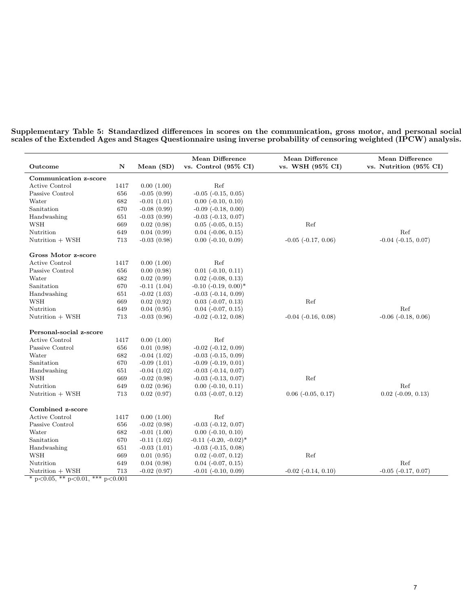|                         |             |               | <b>Mean Difference</b>          | <b>Mean Difference</b>  | <b>Mean Difference</b>      |
|-------------------------|-------------|---------------|---------------------------------|-------------------------|-----------------------------|
| Outcome                 | $\mathbf N$ | Mean $(SD)$   | vs. Control $(95\% \text{ CI})$ | vs. WSH (95% CI)        | vs. Nutrition (95% CI)      |
| Communication z-score   |             |               |                                 |                         |                             |
| Active Control          | 1417        | 0.00(1.00)    | Ref                             |                         |                             |
| Passive Control         | 656         | $-0.05(0.99)$ | $-0.05$ $(-0.15, 0.05)$         |                         |                             |
| Water                   | 682         | $-0.01(1.01)$ | $0.00$ ( $-0.10$ , $0.10$ )     |                         |                             |
| Sanitation              | 670         | $-0.08(0.99)$ | $-0.09$ $(-0.18, 0.00)$         |                         |                             |
| Handwashing             | 651         | $-0.03(0.99)$ | $-0.03$ $(-0.13, 0.07)$         |                         |                             |
| <b>WSH</b>              | 669         | 0.02(0.98)    | $0.05$ ( $-0.05$ , $0.15$ )     | Ref                     |                             |
| Nutrition               | 649         | 0.04(0.99)    | $0.04$ ( $-0.06$ , $0.15$ )     |                         | Ref                         |
| Nutrition + WSH         | 713         | $-0.03(0.98)$ | $0.00$ ( $-0.10$ , $0.09$ )     | $-0.05$ $(-0.17, 0.06)$ | $-0.04$ $(-0.15, 0.07)$     |
| Gross Motor z-score     |             |               |                                 |                         |                             |
| Active Control          | 1417        | 0.00(1.00)    | Ref                             |                         |                             |
| Passive Control         | 656         | 0.00(0.98)    | $0.01$ $(-0.10, 0.11)$          |                         |                             |
| Water                   | 682         | 0.02(0.99)    | $0.02$ ( $-0.08$ , $0.13$ )     |                         |                             |
| Sanitation              | 670         | $-0.11(1.04)$ | $-0.10$ $(-0.19, 0.00)^*$       |                         |                             |
| Handwashing             | 651         | $-0.02(1.03)$ | $-0.03$ $(-0.14, 0.09)$         |                         |                             |
| <b>WSH</b>              | 669         | 0.02(0.92)    | $0.03$ ( $-0.07$ , $0.13$ )     | Ref                     |                             |
| Nutrition               | 649         | 0.04(0.95)    | $0.04$ ( $-0.07$ , $0.15$ )     |                         | Ref                         |
| Nutrition + WSH         | 713         | $-0.03(0.96)$ | $-0.02$ $(-0.12, 0.08)$         | $-0.04$ $(-0.16, 0.08)$ | $-0.06$ $(-0.18, 0.06)$     |
| Personal-social z-score |             |               |                                 |                         |                             |
| Active Control          | 1417        | 0.00(1.00)    | Ref                             |                         |                             |
| Passive Control         | 656         | 0.01(0.98)    | $-0.02$ $(-0.12, 0.09)$         |                         |                             |
| Water                   | 682         | $-0.04(1.02)$ | $-0.03$ $(-0.15, 0.09)$         |                         |                             |
| Sanitation              | 670         | $-0.09(1.01)$ | $-0.09$ $(-0.19, 0.01)$         |                         |                             |
| Handwashing             | 651         | $-0.04(1.02)$ | $-0.03$ $(-0.14, 0.07)$         |                         |                             |
| <b>WSH</b>              | 669         | $-0.02(0.98)$ | $-0.03$ $(-0.13, 0.07)$         | Ref                     |                             |
| Nutrition               | 649         | 0.02(0.96)    | $0.00$ ( $-0.10$ , $0.11$ )     |                         | Ref                         |
| Nutrition + WSH         | 713         | 0.02(0.97)    | $0.03$ $(-0.07, 0.12)$          | $0.06$ $(-0.05, 0.17)$  | $0.02$ ( $-0.09$ , $0.13$ ) |
| Combined z-score        |             |               |                                 |                         |                             |
| Active Control          | 1417        | 0.00(1.00)    | Ref                             |                         |                             |
| Passive Control         | 656         | $-0.02(0.98)$ | $-0.03$ $(-0.12, 0.07)$         |                         |                             |
| Water                   | 682         | $-0.01(1.00)$ | $0.00$ $(-0.10, 0.10)$          |                         |                             |
| Sanitation              | 670         | $-0.11(1.02)$ | $-0.11$ $(-0.20, -0.02)^*$      |                         |                             |
| Handwashing             | 651         | $-0.03(1.01)$ | $-0.03$ $(-0.15, 0.08)$         |                         |                             |
| <b>WSH</b>              | 669         | 0.01(0.95)    | $0.02$ ( $-0.07$ , $0.12$ )     | Ref                     |                             |
| Nutrition               | 649         | 0.04(0.98)    | $0.04$ ( $-0.07$ , $0.15$ )     |                         | Ref                         |
| Nutrition + WSH         | 713         | $-0.02(0.97)$ | $-0.01$ $(-0.10, 0.09)$         | $-0.02$ $(-0.14, 0.10)$ | $-0.05$ $(-0.17, 0.07)$     |

Supplementary Table 5: Standardized differences in scores on the communication, gross motor, and personal social scales of the Extended Ages and Stages Questionnaire using inverse probability of censoring weighted (IPCW) analysis.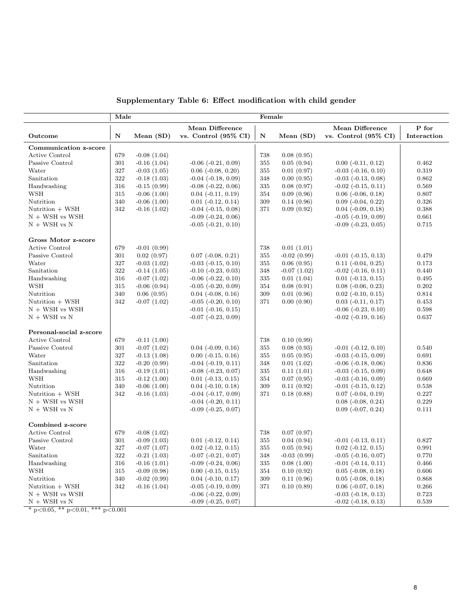| Supplementary Table 6: Effect modification with child gender |  |  |  |  |  |  |
|--------------------------------------------------------------|--|--|--|--|--|--|
|--------------------------------------------------------------|--|--|--|--|--|--|

|                         | Female<br>Male |               |                                 |           |               |                             |             |
|-------------------------|----------------|---------------|---------------------------------|-----------|---------------|-----------------------------|-------------|
|                         |                |               | <b>Mean Difference</b>          |           |               | <b>Mean Difference</b>      | P for       |
| Outcome                 | $\mathbf N$    | Mean $(SD)$   | vs. Control $(95\% \text{ CI})$ | ${\bf N}$ | Mean (SD)     | vs. Control (95% CI)        | Interaction |
| Communication z-score   |                |               |                                 |           |               |                             |             |
| Active Control          | 679            | $-0.08(1.04)$ |                                 | 738       | 0.08(0.95)    |                             |             |
| Passive Control         | 301            | $-0.16(1.04)$ | $-0.06$ $(-0.21, 0.09)$         | 355       | 0.05(0.94)    | $0.00$ ( $-0.11$ , $0.12$ ) | 0.462       |
| Water                   | 327            | $-0.03(1.05)$ | $0.06$ ( $-0.08$ , $0.20$ )     | 355       | 0.01(0.97)    | $-0.03$ $(-0.16, 0.10)$     | 0.319       |
| Sanitation              | 322            | $-0.18(1.03)$ | $-0.04$ $(-0.18, 0.09)$         | 348       | 0.00(0.95)    | $-0.03$ $(-0.13, 0.08)$     | 0.862       |
| Handwashing             | 316            | $-0.15(0.99)$ | $-0.08$ $(-0.22, 0.06)$         | 335       | 0.08(0.97)    | $-0.02$ $(-0.15, 0.11)$     | 0.569       |
| <b>WSH</b>              | 315            | $-0.06(1.00)$ | $0.04$ ( $-0.11$ , $0.19$ )     | 354       | 0.09(0.96)    | $0.06$ $(-0.06, 0.18)$      | 0.807       |
| Nutrition               | 340            | $-0.06(1.00)$ | $0.01$ ( $-0.12$ , $0.14$ )     | 309       | 0.14(0.96)    | $0.09$ $(-0.04, 0.22)$      | 0.326       |
| Nutrition + WSH         | 342            | $-0.16(1.02)$ | $-0.04$ $(-0.15, 0.08)$         | 371       | 0.09(0.92)    | $0.04$ ( $-0.09$ , $0.18$ ) | 0.388       |
| $N + WSH$ vs WSH        |                |               | $-0.09$ $(-0.24, 0.06)$         |           |               | $-0.05$ $(-0.19, 0.09)$     | 0.661       |
| $N + WSH$ vs $N$        |                |               | $-0.05$ $(-0.21, 0.10)$         |           |               | $-0.09$ $(-0.23, 0.05)$     | 0.715       |
|                         |                |               |                                 |           |               |                             |             |
| Gross Motor z-score     |                |               |                                 |           |               |                             |             |
| Active Control          | 679            | $-0.01(0.99)$ |                                 | 738       | 0.01(1.01)    |                             |             |
| Passive Control         | 301            | 0.02(0.97)    | $0.07$ ( $-0.08$ , $0.21$ )     | 355       | $-0.02(0.99)$ | $-0.01$ $(-0.15, 0.13)$     | 0.479       |
| Water                   | 327            | $-0.03(1.02)$ | $-0.03$ $(-0.15, 0.10)$         | 355       | 0.06(0.95)    | $0.11$ ( $-0.04$ , $0.25$ ) | 0.173       |
| Sanitation              | 322            | $-0.14(1.05)$ | $-0.10$ $(-0.23, 0.03)$         | 348       | $-0.07(1.02)$ | $-0.02$ $(-0.16, 0.11)$     | 0.440       |
| Handwashing             | 316            | $-0.07(1.02)$ | $-0.06$ $(-0.22, 0.10)$         | 335       | 0.01(1.04)    | $0.01$ ( $-0.13, 0.15$ )    | 0.495       |
| <b>WSH</b>              | 315            | $-0.06(0.94)$ | $-0.05$ $(-0.20, 0.09)$         | 354       | 0.08(0.91)    | $0.08$ ( $-0.06$ , $0.23$ ) | 0.202       |
| Nutrition               | 340            | 0.06(0.95)    | $0.04$ ( $-0.08$ , $0.16$ )     | 309       | 0.01(0.96)    | $0.02$ ( $-0.10, 0.15$ )    | 0.814       |
| Nutrition + WSH         | 342            | $-0.07(1.02)$ | $-0.05$ $(-0.20, 0.10)$         | 371       | 0.00(0.90)    | $0.03$ $(-0.11, 0.17)$      | 0.453       |
| $N + WSH$ vs WSH        |                |               | $-0.01$ $(-0.16, 0.15)$         |           |               | $-0.06$ $(-0.23, 0.10)$     | 0.598       |
| $N + WSH$ vs $N$        |                |               | $-0.07$ $(-0.23, 0.09)$         |           |               | $-0.02$ $(-0.19, 0.16)$     | 0.637       |
| Personal-social z-score |                |               |                                 |           |               |                             |             |
| Active Control          | 679            | $-0.11(1.00)$ |                                 | 738       | 0.10(0.99)    |                             |             |
| Passive Control         | 301            | $-0.07(1.02)$ | $0.04$ ( $-0.09$ , $0.16$ )     | 355       | 0.08(0.93)    | $-0.01$ $(-0.12, 0.10)$     | 0.540       |
| Water                   | 327            | $-0.13(1.08)$ | $0.00$ ( $-0.15$ , $0.16$ )     | 355       | 0.05(0.95)    | $-0.03$ $(-0.15, 0.09)$     | 0.691       |
| Sanitation              | 322            | $-0.20(0.99)$ | $-0.04$ $(-0.19, 0.11)$         | 348       | 0.01(1.02)    | $-0.06$ $(-0.18, 0.06)$     | 0.836       |
| Handwashing             | 316            | $-0.19(1.01)$ | $-0.08$ $(-0.23, 0.07)$         | 335       | 0.11(1.01)    | $-0.03$ $(-0.15, 0.09)$     | 0.648       |
| <b>WSH</b>              | 315            | $-0.12(1.00)$ | $0.01$ ( $-0.13$ , $0.15$ )     | 354       | 0.07(0.95)    | $-0.03$ $(-0.16, 0.09)$     | 0.669       |
| Nutrition               | 340            | $-0.06(1.00)$ | $0.04$ ( $-0.10, 0.18$ )        | 309       | 0.11(0.92)    | $-0.01$ $(-0.15, 0.12)$     | 0.538       |
| Nutrition + WSH         | 342            | $-0.16(1.03)$ | $-0.04$ $(-0.17, 0.09)$         | 371       | 0.18(0.88)    | $0.07$ ( $-0.04$ , $0.19$ ) | 0.227       |
| $N + WSH$ vs WSH        |                |               | $-0.04$ $(-0.20, 0.11)$         |           |               | $0.08$ ( $-0.08$ , $0.24$ ) | 0.229       |
| $N + WSH$ vs $N$        |                |               | $-0.09$ $(-0.25, 0.07)$         |           |               | $0.09$ $(-0.07, 0.24)$      | 0.111       |
|                         |                |               |                                 |           |               |                             |             |
| Combined z-score        |                |               |                                 |           |               |                             |             |
| Active Control          | 679            | $-0.08(1.02)$ |                                 | 738       | 0.07(0.97)    |                             |             |
| Passive Control         | 301            | $-0.09(1.03)$ | $0.01$ ( $-0.12$ , $0.14$ )     | 355       | 0.04(0.94)    | $-0.01$ $(-0.13, 0.11)$     | 0.827       |
| Water                   | 327            | $-0.07(1.07)$ | $0.02$ ( $-0.12$ , $0.15$ )     | 355       | 0.05(0.94)    | $0.02$ ( $-0.12$ , $0.15$ ) | 0.991       |
| Sanitation              | 322            | $-0.21(1.03)$ | $-0.07$ $(-0.21, 0.07)$         | 348       | $-0.03(0.99)$ | $-0.05$ $(-0.16, 0.07)$     | 0.770       |
| Handwashing             | 316            | $-0.16(1.01)$ | $-0.09$ $(-0.24, 0.06)$         | 335       | 0.08(1.00)    | $-0.01$ $(-0.14, 0.11)$     | 0.466       |
| <b>WSH</b>              | 315            | $-0.09(0.98)$ | $0.00$ ( $-0.15$ , $0.15$ )     | 354       | 0.10(0.92)    | $0.05$ ( $-0.08$ , $0.18$ ) | 0.606       |
| Nutrition               | 340            | $-0.02(0.99)$ | $0.04$ ( $-0.10, 0.17$ )        | 309       | 0.11(0.96)    | $0.05$ ( $-0.08$ , $0.18$ ) | 0.868       |
| Nutrition + WSH         | 342            | $-0.16(1.04)$ | $-0.05$ $(-0.19, 0.09)$         | 371       | 0.10(0.89)    | $0.06$ ( $-0.07, 0.18$ )    | 0.266       |
| $N + WSH$ vs WSH        |                |               | $-0.06$ $(-0.22, 0.09)$         |           |               | $-0.03$ $(-0.18, 0.13)$     | 0.723       |
| $N + WSH$ vs $N$        |                |               | $-0.09$ $(-0.25, 0.07)$         |           |               | $-0.02$ $(-0.18, 0.13)$     | 0.539       |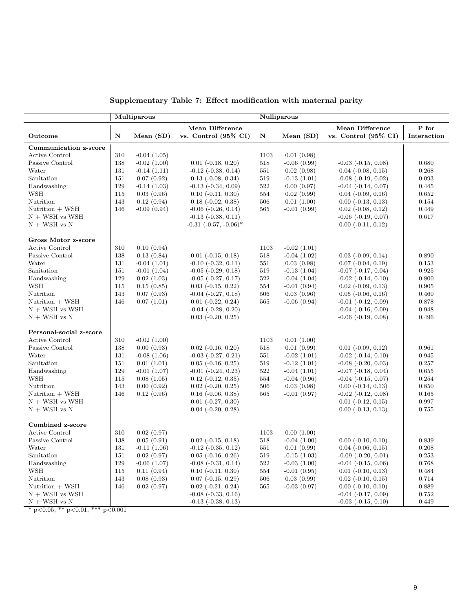|                         |             | Multiparous      |                                 | Nulliparous |               |                                 |             |  |  |
|-------------------------|-------------|------------------|---------------------------------|-------------|---------------|---------------------------------|-------------|--|--|
|                         |             |                  | <b>Mean Difference</b>          |             |               | <b>Mean Difference</b>          | P for       |  |  |
| Outcome                 | $\mathbf N$ | Mean (SD)        | vs. Control $(95\% \text{ CI})$ | ${\bf N}$   | Mean (SD)     | vs. Control $(95\% \text{ CI})$ | Interaction |  |  |
| Communication z-score   |             |                  |                                 |             |               |                                 |             |  |  |
| Active Control          | 310         | $-0.04(1.05)$    |                                 | 1103        | 0.01(0.98)    |                                 |             |  |  |
| Passive Control         | 138         | $-0.02(1.00)$    | $0.01$ ( $-0.18$ , $0.20$ )     | 518         | $-0.06(0.99)$ | $-0.03$ $(-0.15, 0.08)$         | 0.680       |  |  |
| Water                   | 131         | $-0.14(1.11)$    | $-0.12$ $(-0.38, 0.14)$         | 551         | 0.02(0.98)    | $0.04$ ( $-0.08$ , $0.15$ )     | 0.268       |  |  |
| Sanitation              | 151         | 0.07(0.92)       | $0.13$ ( $-0.08$ , $0.34$ )     | 519         | $-0.13(1.01)$ | $-0.08$ $(-0.19, 0.02)$         | 0.093       |  |  |
| Handwashing             | 129         | $-0.14(1.03)$    | $-0.13$ $(-0.34, 0.09)$         | 522         | 0.00(0.97)    | $-0.04$ $(-0.14, 0.07)$         | 0.445       |  |  |
| <b>WSH</b>              | 115         | 0.03(0.96)       | $0.10$ ( $-0.11$ , $0.30$ )     | 554         | 0.02(0.99)    | $0.04$ ( $-0.09$ , $0.16$ )     | 0.652       |  |  |
| Nutrition               | 143         | 0.12(0.94)       | $0.18$ ( $-0.02$ , $0.38$ )     | 506         | 0.01(1.00)    | $0.00$ ( $-0.13$ , $0.13$ )     | 0.154       |  |  |
| Nutrition + WSH         | 146         | $-0.09(0.94)$    | $-0.06$ $(-0.26, 0.14)$         | 565         | $-0.01(0.99)$ | $0.02$ ( $-0.08$ , $0.12$ )     | 0.449       |  |  |
| $N + WSH$ vs WSH        |             |                  | $-0.13$ $(-0.38, 0.11)$         |             |               | $-0.06$ $(-0.19, 0.07)$         | 0.617       |  |  |
| $N + WSH$ vs $N$        |             |                  | $-0.31$ $(-0.57, -0.06)^*$      |             |               | $0.00$ $(-0.11, 0.12)$          |             |  |  |
| Gross Motor z-score     |             |                  |                                 |             |               |                                 |             |  |  |
| <b>Active Control</b>   | 310         | 0.10(0.94)       |                                 | 1103        | $-0.02(1.01)$ |                                 |             |  |  |
| Passive Control         | 138         | 0.13(0.84)       | $0.01$ ( $-0.15, 0.18$ )        | 518         | $-0.04(1.02)$ | $0.03$ ( $-0.09$ , $0.14$ )     | 0.890       |  |  |
| Water                   | 131         | $-0.04(1.01)$    | $-0.10$ $(-0.32, 0.11)$         | 551         | 0.03(0.98)    | $0.07$ ( $-0.04$ , $0.19$ )     | 0.153       |  |  |
| Sanitation              | 151         | $-0.01(1.04)$    | $-0.05$ $(-0.29, 0.18)$         | 519         | $-0.13(1.04)$ | $-0.07$ $(-0.17, 0.04)$         | 0.925       |  |  |
| Handwashing             | 129         | 0.02(1.03)       | $-0.05$ $(-0.27, 0.17)$         | 522         | $-0.04(1.04)$ | $-0.02$ $(-0.14, 0.10)$         | 0.800       |  |  |
| <b>WSH</b>              | 115         | 0.15(0.85)       | $0.03$ ( $-0.15$ , $0.22$ )     | 554         | $-0.01(0.94)$ | $0.02$ ( $-0.09$ , $0.13$ )     | 0.905       |  |  |
| Nutrition               | 143         | 0.07(0.93)       | $-0.04$ $(-0.27, 0.18)$         | 506         | 0.03(0.96)    | $0.05$ ( $-0.06$ , $0.16$ )     | 0.460       |  |  |
| Nutrition + WSH         | 146         | 0.07(1.01)       | $0.01$ ( $-0.22, 0.24$ )        | 565         | $-0.06(0.94)$ | $-0.01$ $(-0.12, 0.09)$         | 0.878       |  |  |
| $N + WSH$ vs WSH        |             |                  | $-0.04$ $(-0.28, 0.20)$         |             |               | $-0.04$ $(-0.16, 0.09)$         | 0.948       |  |  |
| $N + WSH$ vs $N$        |             |                  | $0.03$ $(-0.20, 0.25)$          |             |               | $-0.06$ $(-0.19, 0.08)$         | 0.496       |  |  |
| Personal-social z-score |             |                  |                                 |             |               |                                 |             |  |  |
| <b>Active Control</b>   | 310         | $-0.02(1.00)$    |                                 | 1103        | 0.01(1.00)    |                                 |             |  |  |
| Passive Control         | 138         | 0.00(0.93)       | $0.02$ ( $-0.16$ , $0.20$ )     | 518         | 0.01(0.99)    | $0.01$ ( $-0.09$ , $0.12$ )     | 0.961       |  |  |
| Water                   | 131         | $-0.08(1.06)$    | $-0.03$ $(-0.27, 0.21)$         | 551         | $-0.02(1.01)$ | $-0.02$ $(-0.14, 0.10)$         | 0.945       |  |  |
| Sanitation              | 151         | 0.01(1.01)       | $0.05$ ( $-0.16$ , $0.25$ )     | 519         | $-0.12(1.01)$ | $-0.08$ $(-0.20, 0.03)$         | 0.257       |  |  |
| Handwashing             | 129         | $-0.01(1.07)$    | $-0.01$ $(-0.24, 0.23)$         | 522         | $-0.04(1.01)$ | $-0.07$ $(-0.18, 0.04)$         | 0.655       |  |  |
| <b>WSH</b>              | 115         | 0.08(1.05)       | $0.12$ ( $-0.12$ , $0.35$ )     | 554         | $-0.04(0.96)$ | $-0.04$ $(-0.15, 0.07)$         | 0.254       |  |  |
| Nutrition               | 143         | 0.00(0.92)       | $0.02$ ( $-0.20, 0.25$ )        | 506         | 0.03(0.98)    | $0.00$ ( $-0.14$ , $0.13$ )     | 0.850       |  |  |
| Nutrition + WSH         | 146         | 0.12(0.96)       | $0.16$ $(-0.06, 0.38)$          | 565         | $-0.01(0.97)$ | $-0.02$ $(-0.12, 0.08)$         | 0.165       |  |  |
| $N + WSH$ vs WSH        |             |                  | $0.01$ ( $-0.27, 0.30$ )        |             |               | $0.01$ (-0.12, 0.15)            | 0.997       |  |  |
| $N + WSH$ vs $N$        |             |                  | $0.04$ $(-0.20, 0.28)$          |             |               | $0.00$ ( $-0.13$ , $0.13$ )     | 0.755       |  |  |
| Combined z-score        |             |                  |                                 |             |               |                                 |             |  |  |
| <b>Active Control</b>   | 310         | 0.02(0.97)       |                                 | 1103        | 0.00(1.00)    |                                 |             |  |  |
| Passive Control         | 138         | 0.05(0.91)       | $0.02$ ( $-0.15$ , $0.18$ )     | 518         | $-0.04(1.00)$ | $0.00$ $(-0.10, 0.10)$          | 0.839       |  |  |
| Water                   | 131         | $-0.11(1.06)$    | $-0.12$ $(-0.35, 0.12)$         | 551         | 0.01(0.99)    | $0.04$ ( $-0.06$ , $0.15$ )     | 0.208       |  |  |
| Sanitation              | 151         | 0.02(0.97)       | $0.05$ ( $-0.16$ , $0.26$ )     | 519         | $-0.15(1.03)$ | $-0.09$ $(-0.20, 0.01)$         | 0.253       |  |  |
| Handwashing             | 129         | $-0.06$ $(1.07)$ | $-0.08$ $(-0.31, 0.14)$         | $522\,$     | $-0.03(1.00)$ | $-0.04$ $(-0.15, 0.06)$         | 0.768       |  |  |
| <b>WSH</b>              | 115         | 0.11(0.94)       | $0.10$ ( $-0.11$ , $0.30$ )     | 554         | $-0.01(0.95)$ | $0.01$ ( $-0.10$ , $0.13$ )     | 0.484       |  |  |
| Nutrition               | 143         | 0.08(0.93)       | $0.07$ (-0.15, 0.29)            | 506         | 0.03(0.99)    | $0.02$ ( $-0.10, 0.15$ )        | 0.714       |  |  |
| Nutrition + WSH         | 146         | 0.02(0.97)       | $0.02$ ( $-0.21, 0.24$ )        | 565         | $-0.03(0.97)$ | $0.00$ ( $-0.10, 0.10$ )        | 0.889       |  |  |
| $N + WSH$ vs WSH        |             |                  | $-0.08$ $(-0.33, 0.16)$         |             |               | $-0.04$ $(-0.17, 0.09)$         | 0.752       |  |  |
| $N + WSH$ vs $N$        |             |                  | $-0.13$ $(-0.38, 0.13)$         |             |               | $-0.03$ $(-0.15, 0.10)$         | 0.449       |  |  |

Supplementary Table 7: Effect modification with maternal parity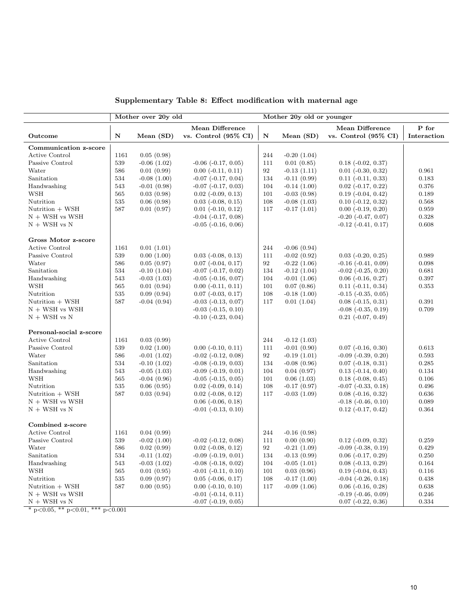|                         |      | Mother over 20y old |                                 | Mother 20y old or younger |               |                                 |             |  |  |
|-------------------------|------|---------------------|---------------------------------|---------------------------|---------------|---------------------------------|-------------|--|--|
|                         |      |                     | <b>Mean Difference</b>          |                           |               | <b>Mean Difference</b>          | P for       |  |  |
| Outcome                 | N    | Mean $(SD)$         | vs. Control $(95\% \text{ CI})$ | $\mathbf N$               | Mean (SD)     | vs. Control $(95\% \text{ CI})$ | Interaction |  |  |
| Communication z-score   |      |                     |                                 |                           |               |                                 |             |  |  |
| Active Control          | 1161 | 0.05(0.98)          |                                 | 244                       | $-0.20(1.04)$ |                                 |             |  |  |
| Passive Control         | 539  | $-0.06(1.02)$       | $-0.06$ $(-0.17, 0.05)$         | 111                       | 0.01(0.85)    | $0.18$ ( $-0.02$ , $0.37$ )     |             |  |  |
| Water                   | 586  | 0.01(0.99)          | $0.00$ ( $-0.11$ , $0.11$ )     | 92                        | $-0.13(1.11)$ | $0.01$ ( $-0.30, 0.32$ )        | 0.961       |  |  |
| Sanitation              | 534  | $-0.08(1.00)$       | $-0.07$ $(-0.17, 0.04)$         | 134                       | $-0.11(0.99)$ | $0.11$ $(-0.11, 0.33)$          | 0.183       |  |  |
| Handwashing             | 543  | $-0.01(0.98)$       | $-0.07$ $(-0.17, 0.03)$         | 104                       | $-0.14(1.00)$ | $0.02$ ( $-0.17, 0.22$ )        | 0.376       |  |  |
| WSH                     | 565  | 0.03(0.98)          | $0.02$ ( $-0.09$ , $0.13$ )     | 101                       | $-0.03(0.98)$ | $0.19$ ( $-0.04$ , $0.42$ )     | 0.189       |  |  |
| Nutrition               | 535  | 0.06(0.98)          | $0.03$ ( $-0.08$ , $0.15$ )     | 108                       | $-0.08(1.03)$ | $0.10$ ( $-0.12$ , $0.32$ )     | 0.568       |  |  |
| Nutrition + WSH         | 587  | 0.01(0.97)          | $0.01$ ( $-0.10, 0.12$ )        | 117                       | $-0.17(1.01)$ | $0.00$ $(-0.19, 0.20)$          | 0.959       |  |  |
| $N + WSH$ vs WSH        |      |                     | $-0.04$ $(-0.17, 0.08)$         |                           |               | $-0.20$ $(-0.47, 0.07)$         | 0.328       |  |  |
| $N + WSH$ vs $N$        |      |                     | $-0.05$ $(-0.16, 0.06)$         |                           |               | $-0.12$ $(-0.41, 0.17)$         | 0.608       |  |  |
| Gross Motor z-score     |      |                     |                                 |                           |               |                                 |             |  |  |
| <b>Active Control</b>   | 1161 | 0.01(1.01)          |                                 | 244                       | $-0.06(0.94)$ |                                 |             |  |  |
| Passive Control         | 539  | 0.00(1.00)          | $0.03$ ( $-0.08$ , $0.13$ )     | 111                       | $-0.02(0.92)$ | $0.03$ $(-0.20, 0.25)$          | 0.989       |  |  |
| Water                   | 586  | 0.05(0.97)          | $0.07$ ( $-0.04$ , $0.17$ )     | 92                        | $-0.22(1.06)$ | $-0.16$ $(-0.41, 0.09)$         | 0.098       |  |  |
| Sanitation              | 534  | $-0.10(1.04)$       | $-0.07$ $(-0.17, 0.02)$         | 134                       | $-0.12(1.04)$ | $-0.02$ $(-0.25, 0.20)$         | 0.681       |  |  |
| Handwashing             | 543  | $-0.03(1.03)$       | $-0.05$ $(-0.16, 0.07)$         | 104                       | $-0.01(1.06)$ | $0.06$ ( $-0.16$ , $0.27$ )     | 0.397       |  |  |
| <b>WSH</b>              | 565  | 0.01(0.94)          | $0.00$ $(-0.11, 0.11)$          | 101                       | 0.07(0.86)    | $0.11$ $(-0.11, 0.34)$          | 0.353       |  |  |
| Nutrition               | 535  | 0.09(0.94)          | $0.07$ ( $-0.03$ , $0.17$ )     | 108                       | $-0.18(1.00)$ | $-0.15$ $(-0.35, 0.05)$         |             |  |  |
| Nutrition + WSH         | 587  | $-0.04(0.94)$       | $-0.03$ $(-0.13, 0.07)$         | 117                       | 0.01(1.04)    | $0.08$ $(-0.15, 0.31)$          | 0.391       |  |  |
| $N + WSH$ vs WSH        |      |                     | $-0.03$ $(-0.15, 0.10)$         |                           |               | $-0.08$ $(-0.35, 0.19)$         | 0.709       |  |  |
| $N + WSH$ vs $N$        |      |                     | $-0.10$ $(-0.23, 0.04)$         |                           |               | $0.21$ ( $-0.07, 0.49$ )        |             |  |  |
| Personal-social z-score |      |                     |                                 |                           |               |                                 |             |  |  |
| <b>Active Control</b>   | 1161 | 0.03(0.99)          |                                 | 244                       | $-0.12(1.03)$ |                                 |             |  |  |
| Passive Control         | 539  | 0.02(1.00)          | $0.00$ ( $-0.10, 0.11$ )        | 111                       | $-0.01(0.90)$ | $0.07$ ( $-0.16$ , $0.30$ )     | 0.613       |  |  |
| Water                   | 586  | $-0.01(1.02)$       | $-0.02$ $(-0.12, 0.08)$         | 92                        | $-0.19(1.01)$ | $-0.09$ $(-0.39, 0.20)$         | 0.593       |  |  |
| Sanitation              | 534  | $-0.10(1.02)$       | $-0.08$ $(-0.19, 0.03)$         | 134                       | $-0.08(0.96)$ | $0.07$ ( $-0.18$ , $0.31$ )     | 0.285       |  |  |
| Handwashing             | 543  | $-0.05(1.03)$       | $-0.09$ $(-0.19, 0.01)$         | 104                       | 0.04(0.97)    | $0.13$ ( $-0.14$ , $0.40$ )     | 0.134       |  |  |
| <b>WSH</b>              | 565  | $-0.04(0.96)$       | $-0.05$ $(-0.15, 0.05)$         | 101                       | 0.06(1.03)    | $0.18$ ( $-0.08$ , $0.45$ )     | 0.106       |  |  |
| Nutrition               | 535  | 0.06(0.95)          | $0.02$ ( $-0.09$ , $0.14$ )     | 108                       | $-0.17(0.97)$ | $-0.07$ $(-0.33, 0.18)$         | 0.496       |  |  |
| Nutrition + WSH         | 587  | 0.03(0.94)          | $0.02$ ( $-0.08$ , $0.12$ )     | 117                       | $-0.03(1.09)$ | $0.08$ ( $-0.16$ , $0.32$ )     | 0.636       |  |  |
| $N + WSH$ vs WSH        |      |                     | $0.06$ ( $-0.06$ , $0.18$ )     |                           |               | $-0.18$ $(-0.46, 0.10)$         | 0.089       |  |  |
| $N + WSH$ vs $N$        |      |                     | $-0.01$ $(-0.13, 0.10)$         |                           |               | $0.12$ ( $-0.17, 0.42$ )        | 0.364       |  |  |
| Combined z-score        |      |                     |                                 |                           |               |                                 |             |  |  |
| Active Control          | 1161 | 0.04(0.99)          |                                 | 244                       | $-0.16(0.98)$ |                                 |             |  |  |
| Passive Control         | 539  | $-0.02(1.00)$       | $-0.02$ $(-0.12, 0.08)$         | 111                       | 0.00(0.90)    | $0.12$ ( $-0.09$ , $0.32$ )     | 0.259       |  |  |
| Water                   | 586  | 0.02(0.99)          | $0.02$ ( $-0.08$ , $0.12$ )     | 92                        | $-0.21(1.09)$ | $-0.09$ $(-0.38, 0.19)$         | 0.429       |  |  |
| Sanitation              | 534  | $-0.11(1.02)$       | $-0.09$ $(-0.19, 0.01)$         | 134                       | $-0.13(0.99)$ | $0.06$ (-0.17, 0.29)            | 0.250       |  |  |
| Handwashing             | 543  | $-0.03(1.02)$       | $-0.08$ $(-0.18, 0.02)$         | 104                       | $-0.05(1.01)$ | $0.08$ ( $-0.13$ , $0.29$ )     | 0.164       |  |  |
| <b>WSH</b>              | 565  | 0.01(0.95)          | $-0.01$ $(-0.11, 0.10)$         | 101                       | 0.03(0.96)    | $0.19$ ( $-0.04$ , $0.43$ )     | 0.116       |  |  |
| Nutrition               | 535  | 0.09(0.97)          | $0.05$ ( $-0.06$ , $0.17$ )     | 108                       | $-0.17(1.00)$ | $-0.04$ $(-0.26, 0.18)$         | 0.438       |  |  |
| Nutrition + WSH         | 587  | 0.00(0.95)          | $0.00$ $(-0.10, 0.10)$          | 117                       | $-0.09(1.06)$ | $0.06$ ( $-0.16$ , $0.28$ )     | 0.638       |  |  |
| $N + WSH$ vs WSH        |      |                     | $-0.01$ $(-0.14, 0.11)$         |                           |               | $-0.19$ $(-0.46, 0.09)$         | 0.246       |  |  |
| $N + WSH$ vs $N$        |      |                     | $-0.07$ $(-0.19, 0.05)$         |                           |               | $0.07$ ( $-0.22$ , $0.36$ )     | 0.334       |  |  |

Supplementary Table 8: Effect modification with maternal age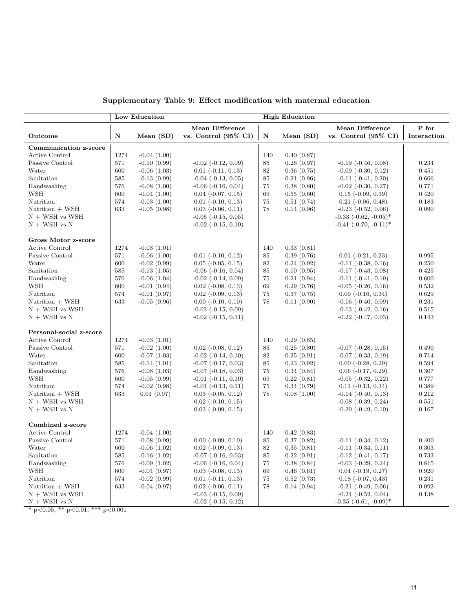|                         |      | Low Education |                                 |     | <b>High Education</b> |                                 |             |
|-------------------------|------|---------------|---------------------------------|-----|-----------------------|---------------------------------|-------------|
|                         |      |               | Mean Difference                 |     |                       | Mean Difference                 | P for       |
| Outcome                 | N    | Mean (SD)     | vs. Control $(95\% \text{ CI})$ | N   | Mean $(SD)$           | vs. Control $(95\% \text{ CI})$ | Interaction |
| Communication z-score   |      |               |                                 |     |                       |                                 |             |
| Active Control          | 1274 | $-0.04(1.00)$ |                                 | 140 | 0.40(0.87)            |                                 |             |
| Passive Control         | 571  | $-0.10(0.99)$ | $-0.02$ $(-0.12, 0.09)$         | 85  | 0.26(0.97)            | $-0.19$ $(-0.46, 0.08)$         | 0.234       |
| Water                   | 600  | $-0.06(1.03)$ | $0.01$ ( $-0.11, 0.13$ )        | 82  | 0.36(0.75)            | $-0.09$ $(-0.30, 0.12)$         | 0.451       |
| Sanitation              | 585  | $-0.13(0.99)$ | $-0.04$ $(-0.13, 0.05)$         | 85  | 0.21(0.96)            | $-0.11$ $(-0.41, 0.20)$         | 0.666       |
| Handwashing             | 576  | $-0.08(1.00)$ | $-0.06$ $(-0.16, 0.04)$         | 75  | 0.38(0.80)            | $-0.02$ $(-0.30, 0.27)$         | 0.771       |
| WSH                     | 600  | $-0.04(1.00)$ | $0.04$ ( $-0.07, 0.15$ )        | 69  | 0.55(0.60)            | $0.15$ ( $-0.09$ , $0.39$ )     | 0.420       |
| Nutrition               | 574  | $-0.03(1.00)$ | $0.01$ ( $-0.10, 0.13$ )        | 75  | 0.51(0.74)            | $0.21$ ( $-0.06$ , $0.48$ )     | 0.183       |
| Nutrition + WSH         | 633  | $-0.05(0.98)$ | $0.03$ ( $-0.06$ , $0.11$ )     | 78  | 0.14(0.96)            | $-0.23$ $(-0.52, 0.06)$         | 0.090       |
| $N + WSH$ vs WSH        |      |               | $-0.05$ $(-0.15, 0.05)$         |     |                       | $-0.33$ $(-0.62, -0.05)^*$      |             |
| $N + WSH$ vs $N$        |      |               | $-0.02$ $(-0.15, 0.10)$         |     |                       | $-0.41$ $(-0.70, -0.11)^*$      |             |
| Gross Motor z-score     |      |               |                                 |     |                       |                                 |             |
| <b>Active Control</b>   | 1274 | $-0.03(1.01)$ |                                 | 140 | 0.33(0.81)            |                                 |             |
| Passive Control         | 571  | $-0.06(1.00)$ | $0.01$ ( $-0.10, 0.12$ )        | 85  | 0.39(0.76)            | $0.01$ $(-0.21, 0.23)$          | 0.995       |
| Water                   | 600  | $-0.02(0.99)$ | $0.05$ ( $-0.05$ , $0.15$ )     | 82  | 0.24(0.92)            | $-0.11$ $(-0.38, 0.16)$         | 0.250       |
| Sanitation              | 585  | $-0.13(1.05)$ | $-0.06$ $(-0.16, 0.04)$         | 85  | 0.10(0.95)            | $-0.17$ $(-0.43, 0.08)$         | 0.425       |
| Handwashing             | 576  | $-0.06(1.04)$ | $-0.02$ $(-0.14, 0.09)$         | 75  | 0.21(0.94)            | $-0.11$ $(-0.41, 0.19)$         | 0.600       |
| <b>WSH</b>              | 600  | $-0.01(0.94)$ | $0.02$ ( $-0.08$ , $0.13$ )     | 69  | 0.29(0.76)            | $-0.05$ $(-0.26, 0.16)$         | 0.532       |
| Nutrition               | 574  | $-0.01(0.97)$ | $0.02$ ( $-0.09$ , $0.13$ )     | 75  | 0.37(0.75)            | $0.09$ ( $-0.16$ , $0.34$ )     | 0.629       |
| Nutrition + WSH         | 633  | $-0.05(0.96)$ | $0.00$ $(-0.10, 0.10)$          | 78  | 0.11(0.90)            | $-0.16$ $(-0.40, 0.09)$         | 0.231       |
| $N + WSH$ vs WSH        |      |               | $-0.03$ $(-0.15, 0.09)$         |     |                       | $-0.13$ $(-0.42, 0.16)$         | 0.515       |
| $N + WSH$ vs $N$        |      |               | $-0.02$ $(-0.15, 0.11)$         |     |                       | $-0.22$ $(-0.47, 0.03)$         | 0.143       |
| Personal-social z-score |      |               |                                 |     |                       |                                 |             |
| Active Control          | 1274 | $-0.03(1.01)$ |                                 | 140 | 0.29(0.85)            |                                 |             |
| Passive Control         | 571  | $-0.02(1.00)$ | $0.02$ ( $-0.08$ , $0.12$ )     | 85  | 0.25(0.80)            | $-0.07$ $(-0.28, 0.15)$         | 0.490       |
| Water                   | 600  | $-0.07(1.03)$ | $-0.02$ $(-0.14, 0.10)$         | 82  | 0.25(0.91)            | $-0.07$ $(-0.33, 0.19)$         | 0.714       |
| Sanitation              | 585  | $-0.14(1.01)$ | $-0.07$ $(-0.17, 0.03)$         | 85  | 0.23(0.92)            | $0.00$ $(-0.28, 0.29)$          | 0.594       |
| Handwashing             | 576  | $-0.08(1.03)$ | $-0.07$ $(-0.18, 0.03)$         | 75  | 0.34(0.84)            | $0.06$ ( $-0.17, 0.29$ )        | 0.307       |
| <b>WSH</b>              | 600  | $-0.05(0.99)$ | $-0.01$ $(-0.11, 0.10)$         | 69  | 0.22(0.81)            | $-0.05$ $(-0.32, 0.22)$         | 0.777       |
| Nutrition               | 574  | $-0.02(0.98)$ | $-0.01$ $(-0.13, 0.11)$         | 75  | 0.34(0.79)            | $0.11$ ( $-0.13$ , $0.34$ )     | 0.389       |
| Nutrition + WSH         | 633  | 0.01(0.97)    | $0.03$ $(-0.05, 0.12)$          | 78  | 0.08(1.00)            | $-0.14$ $(-0.40, 0.13)$         | 0.212       |
| $N + WSH$ vs WSH        |      |               | $0.02$ ( $-0.10, 0.15$ )        |     |                       | $-0.08$ $(-0.39, 0.24)$         | 0.551       |
| $N + WSH$ vs $N$        |      |               | $0.03$ ( $-0.09$ , $0.15$ )     |     |                       | $-0.20$ $(-0.49, 0.10)$         | 0.167       |
| Combined z-score        |      |               |                                 |     |                       |                                 |             |
| Active Control          | 1274 | $-0.04(1.00)$ |                                 | 140 | 0.42(0.83)            |                                 |             |
| Passive Control         | 571  | $-0.08(0.99)$ | $0.00$ $(-0.09, 0.10)$          | 85  | 0.37(0.82)            | $-0.11$ $(-0.34, 0.12)$         | 0.400       |
| Water                   | 600  | $-0.06(1.02)$ | $0.02$ ( $-0.09$ , $0.13$ )     | 82  | 0.35(0.81)            | $-0.11$ $(-0.34, 0.11)$         | 0.303       |
| Sanitation              | 585  | $-0.16(1.02)$ | $-0.07$ $(-0.16, 0.03)$         | 85  | 0.22(0.91)            | $-0.12$ $(-0.41, 0.17)$         | 0.733       |
| Handwashing             | 576  | $-0.09(1.02)$ | $-0.06$ $(-0.16, 0.04)$         | 75  | 0.38(0.84)            | $-0.03$ $(-0.29, 0.24)$         | 0.815       |
| <b>WSH</b>              | 600  | $-0.04(0.97)$ | $0.03$ ( $-0.08$ , $0.13$ )     | 69  | 0.46(0.61)            | $0.04$ ( $-0.19$ , $0.27$ )     | 0.920       |
| Nutrition               | 574  | $-0.02(0.99)$ | $0.01$ ( $-0.11$ , $0.13$ )     | 75  | 0.52(0.73)            | $0.18$ (-0.07, 0.43)            | 0.231       |
| Nutrition + WSH         | 633  | $-0.04(0.97)$ | $0.02$ ( $-0.06$ , $0.11$ )     | 78  | 0.14(0.94)            | $-0.21$ $(-0.49, 0.06)$         | 0.092       |
| $N + WSH$ vs WSH        |      |               | $-0.03$ $(-0.15, 0.09)$         |     |                       | $-0.24$ $(-0.52, 0.04)$         | 0.138       |
| $N + WSH$ vs $N$        |      |               | $-0.02$ $(-0.15, 0.12)$         |     |                       | $-0.35$ $(-0.61, -0.09)^*$      |             |

Supplementary Table 9: Effect modification with maternal education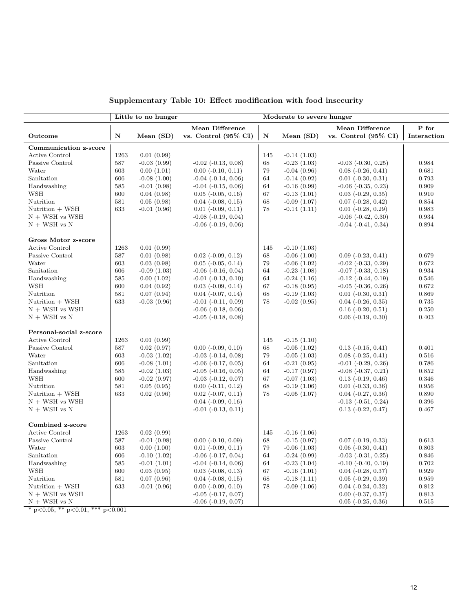|                         |      | Little to no hunger |                                 | Moderate to severe hunger |               |                                 |             |  |  |
|-------------------------|------|---------------------|---------------------------------|---------------------------|---------------|---------------------------------|-------------|--|--|
|                         |      |                     | <b>Mean Difference</b>          |                           |               | <b>Mean Difference</b>          | P for       |  |  |
| Outcome                 | N    | Mean $(SD)$         | vs. Control $(95\% \text{ CI})$ | $\mathbf N$               | Mean $(SD)$   | vs. Control $(95\% \text{ CI})$ | Interaction |  |  |
| Communication z-score   |      |                     |                                 |                           |               |                                 |             |  |  |
| Active Control          | 1263 | 0.01(0.99)          |                                 | 145                       | $-0.14(1.03)$ |                                 |             |  |  |
| Passive Control         | 587  | $-0.03(0.99)$       | $-0.02$ $(-0.13, 0.08)$         | 68                        | $-0.23(1.03)$ | $-0.03$ $(-0.30, 0.25)$         | 0.984       |  |  |
| Water                   | 603  | 0.00(1.01)          | $0.00$ ( $-0.10$ , $0.11$ )     | 79                        | $-0.04(0.96)$ | $0.08$ ( $-0.26$ , $0.41$ )     | 0.681       |  |  |
| Sanitation              | 606  | $-0.08(1.00)$       | $-0.04$ $(-0.14, 0.06)$         | 64                        | $-0.14(0.92)$ | $0.01$ ( $-0.30, 0.31$ )        | 0.793       |  |  |
| Handwashing             | 585  | $-0.01(0.98)$       | $-0.04$ $(-0.15, 0.06)$         | 64                        | $-0.16(0.99)$ | $-0.06$ $(-0.35, 0.23)$         | 0.909       |  |  |
| WSH                     | 600  | 0.04(0.98)          | $0.05$ ( $-0.05$ , $0.16$ )     | 67                        | $-0.13(1.01)$ | $0.03$ $(-0.29, 0.35)$          | 0.910       |  |  |
| Nutrition               | 581  | 0.05(0.98)          | $0.04$ ( $-0.08$ , $0.15$ )     | 68                        | $-0.09(1.07)$ | $0.07$ ( $-0.28$ , $0.42$ )     | 0.854       |  |  |
| Nutrition + WSH         | 633  | $-0.01(0.96)$       | $0.01$ (-0.09, 0.11)            | 78                        | $-0.14(1.11)$ | $0.01$ ( $-0.28$ , $0.29$ )     | 0.983       |  |  |
| $N + WSH$ vs WSH        |      |                     | $-0.08$ $(-0.19, 0.04)$         |                           |               | $-0.06$ $(-0.42, 0.30)$         | 0.934       |  |  |
| $N + WSH$ vs $N$        |      |                     | $-0.06$ $(-0.19, 0.06)$         |                           |               | $-0.04$ $(-0.41, 0.34)$         | 0.894       |  |  |
| Gross Motor z-score     |      |                     |                                 |                           |               |                                 |             |  |  |
| <b>Active Control</b>   | 1263 | 0.01(0.99)          |                                 | 145                       | $-0.10(1.03)$ |                                 |             |  |  |
| Passive Control         | 587  | 0.01(0.98)          | $0.02$ ( $-0.09$ , $0.12$ )     | 68                        | $-0.06(1.00)$ | $0.09$ $(-0.23, 0.41)$          | 0.679       |  |  |
| Water                   | 603  | 0.03(0.98)          | $0.05$ ( $-0.05$ , $0.14$ )     | 79                        | $-0.06(1.02)$ | $-0.02$ $(-0.33, 0.29)$         | 0.672       |  |  |
| Sanitation              | 606  | $-0.09(1.03)$       | $-0.06$ $(-0.16, 0.04)$         | 64                        | $-0.23(1.08)$ | $-0.07$ $(-0.33, 0.18)$         | 0.934       |  |  |
| Handwashing             | 585  | 0.00(1.02)          | $-0.01$ $(-0.13, 0.10)$         | 64                        | $-0.24(1.16)$ | $-0.12$ $(-0.44, 0.19)$         | 0.546       |  |  |
| <b>WSH</b>              | 600  | 0.04(0.92)          | $0.03$ ( $-0.09$ , $0.14$ )     | 67                        | $-0.18(0.95)$ | $-0.05$ $(-0.36, 0.26)$         | 0.672       |  |  |
| Nutrition               | 581  | 0.07(0.94)          | $0.04$ ( $-0.07, 0.14$ )        | 68                        | $-0.19(1.03)$ | $0.01$ ( $-0.30, 0.31$ )        | 0.869       |  |  |
| Nutrition + WSH         | 633  | $-0.03(0.96)$       | $-0.01$ $(-0.11, 0.09)$         | 78                        | $-0.02(0.95)$ | $0.04$ ( $-0.26$ , $0.35$ )     | 0.735       |  |  |
| $N + WSH$ vs WSH        |      |                     | $-0.06$ $(-0.18, 0.06)$         |                           |               | $0.16$ ( $-0.20, 0.51$ )        | 0.250       |  |  |
| $N + WSH$ vs $N$        |      |                     | $-0.05$ $(-0.18, 0.08)$         |                           |               | $0.06$ ( $-0.19$ , $0.30$ )     | 0.403       |  |  |
| Personal-social z-score |      |                     |                                 |                           |               |                                 |             |  |  |
| <b>Active Control</b>   | 1263 | 0.01(0.99)          |                                 | 145                       | $-0.15(1.10)$ |                                 |             |  |  |
| Passive Control         | 587  | 0.02(0.97)          | $0.00$ ( $-0.09$ , $0.10$ )     | 68                        | $-0.05(1.02)$ | $0.13$ $(-0.15, 0.41)$          | 0.401       |  |  |
| Water                   | 603  | $-0.03(1.02)$       | $-0.03$ $(-0.14, 0.08)$         | 79                        | $-0.05(1.03)$ | $0.08$ $(-0.25, 0.41)$          | 0.516       |  |  |
| Sanitation              | 606  | $-0.08(1.01)$       | $-0.06$ $(-0.17, 0.05)$         | 64                        | $-0.21(0.95)$ | $-0.01$ $(-0.29, 0.26)$         | 0.786       |  |  |
| Handwashing             | 585  | $-0.02(1.03)$       | $-0.05$ $(-0.16, 0.05)$         | 64                        | $-0.17(0.97)$ | $-0.08$ $(-0.37, 0.21)$         | 0.852       |  |  |
| <b>WSH</b>              | 600  | $-0.02(0.97)$       | $-0.03$ $(-0.12, 0.07)$         | 67                        | $-0.07(1.03)$ | $0.13$ $(-0.19, 0.46)$          | 0.346       |  |  |
| Nutrition               | 581  | 0.05(0.95)          | $0.00$ $(-0.11, 0.12)$          | 68                        | $-0.19(1.06)$ | $0.01$ ( $-0.33$ , $0.36$ )     | 0.956       |  |  |
| Nutrition + WSH         | 633  | 0.02(0.96)          | $0.02$ ( $-0.07, 0.11$ )        | 78                        | $-0.05(1.07)$ | $0.04$ ( $-0.27, 0.36$ )        | 0.890       |  |  |
| $N + WSH$ vs WSH        |      |                     | $0.04$ ( $-0.09$ , $0.16$ )     |                           |               | $-0.13$ $(-0.51, 0.24)$         | 0.396       |  |  |
| $N + WSH$ vs $N$        |      |                     | $-0.01$ $(-0.13, 0.11)$         |                           |               | $0.13$ $(-0.22, 0.47)$          | 0.467       |  |  |
| Combined z-score        |      |                     |                                 |                           |               |                                 |             |  |  |
| Active Control          | 1263 | 0.02(0.99)          |                                 | 145                       | $-0.16(1.06)$ |                                 |             |  |  |
| Passive Control         | 587  | $-0.01(0.98)$       | $0.00$ ( $-0.10, 0.09$ )        | 68                        | $-0.15(0.97)$ | $0.07$ ( $-0.19$ , $0.33$ )     | 0.613       |  |  |
| Water                   | 603  | 0.00(1.00)          | $0.01$ ( $-0.09$ , $0.11$ )     | 79                        | $-0.06(1.03)$ | $0.06$ $(-0.30, 0.41)$          | 0.803       |  |  |
| Sanitation              | 606  | $-0.10(1.02)$       | $-0.06$ $(-0.17, 0.04)$         | 64                        | $-0.24(0.99)$ | $-0.03$ $(-0.31, 0.25)$         | 0.846       |  |  |
| Handwashing             | 585  | $-0.01(1.01)$       | $-0.04$ $(-0.14, 0.06)$         | 64                        | $-0.23(1.04)$ | $-0.10$ $(-0.40, 0.19)$         | 0.702       |  |  |
| <b>WSH</b>              | 600  | 0.03(0.95)          | $0.03$ ( $-0.08$ , $0.13$ )     | 67                        | $-0.16(1.01)$ | $0.04$ ( $-0.28$ , $0.37$ )     | 0.929       |  |  |
| Nutrition               | 581  | 0.07(0.96)          | $0.04$ ( $-0.08$ , $0.15$ )     | 68                        | $-0.18(1.11)$ | $0.05$ ( $-0.29, 0.39$ )        | 0.959       |  |  |
| Nutrition + WSH         | 633  | $-0.01(0.96)$       | $0.00$ ( $-0.09$ , $0.10$ )     | 78                        | $-0.09(1.06)$ | $0.04$ ( $-0.24$ , $0.32$ )     | 0.812       |  |  |
| $N + WSH$ vs WSH        |      |                     | $-0.05$ $(-0.17, 0.07)$         |                           |               | $0.00$ ( $-0.37, 0.37$ )        | 0.813       |  |  |
| $N + WSH$ vs $N$        |      |                     | $-0.06$ $(-0.19, 0.07)$         |                           |               | $0.05$ ( $-0.25$ , $0.36$ )     | 0.515       |  |  |

Supplementary Table 10: Effect modification with food insecurity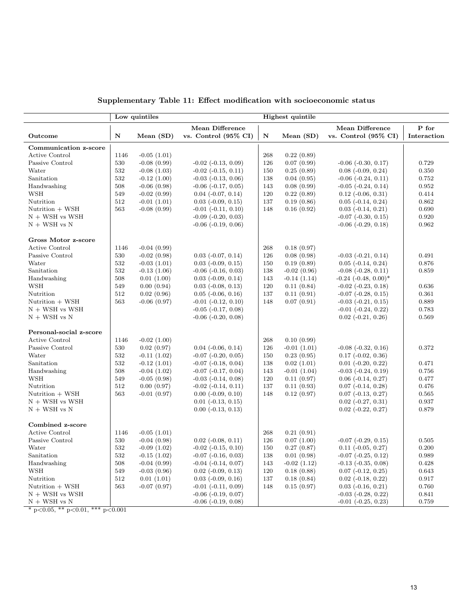|                         | Low quintiles |                  |                                 | Highest quintile |               |                                 |             |
|-------------------------|---------------|------------------|---------------------------------|------------------|---------------|---------------------------------|-------------|
|                         |               |                  | Mean Difference                 |                  |               | Mean Difference                 | P for       |
| Outcome                 | N             | Mean $(SD)$      | vs. Control $(95\% \text{ CI})$ | N                | Mean $(SD)$   | vs. Control $(95\% \text{ CI})$ | Interaction |
| Communication z-score   |               |                  |                                 |                  |               |                                 |             |
| Active Control          | 1146          | $-0.05(1.01)$    |                                 | 268              | 0.22(0.89)    |                                 |             |
| Passive Control         | 530           | $-0.08(0.99)$    | $-0.02$ $(-0.13, 0.09)$         | 126              | 0.07(0.99)    | $-0.06$ $(-0.30, 0.17)$         | 0.729       |
| Water                   | 532           | $-0.08(1.03)$    | $-0.02$ $(-0.15, 0.11)$         | 150              | 0.25(0.89)    | $0.08$ $(-0.09, 0.24)$          | 0.350       |
| Sanitation              | 532           | $-0.12(1.00)$    | $-0.03$ $(-0.13, 0.06)$         | 138              | 0.04(0.95)    | $-0.06$ $(-0.24, 0.11)$         | 0.752       |
| Handwashing             | 508           | $-0.06(0.98)$    | $-0.06$ $(-0.17, 0.05)$         | 143              | 0.08(0.99)    | $-0.05$ $(-0.24, 0.14)$         | 0.952       |
| WSH                     | 549           | $-0.02(0.99)$    | $0.04$ ( $-0.07, 0.14$ )        | 120              | 0.22(0.89)    | $0.12$ ( $-0.06$ , $0.31$ )     | 0.414       |
| Nutrition               | 512           | $-0.01(1.01)$    | $0.03$ ( $-0.09$ , $0.15$ )     | 137              | 0.19(0.86)    | $0.05$ $(-0.14, 0.24)$          | 0.862       |
| Nutrition + WSH         | 563           | $-0.08(0.99)$    | $-0.01$ $(-0.11, 0.10)$         | 148              | 0.16(0.92)    | $0.03$ ( $-0.14$ , $0.21$ )     | 0.690       |
| $N + WSH$ vs WSH        |               |                  | $-0.09$ $(-0.20, 0.03)$         |                  |               | $-0.07$ $(-0.30, 0.15)$         | 0.920       |
| $N + WSH$ vs $N$        |               |                  | $-0.06$ $(-0.19, 0.06)$         |                  |               | $-0.06$ $(-0.29, 0.18)$         | 0.962       |
| Gross Motor z-score     |               |                  |                                 |                  |               |                                 |             |
| Active Control          | 1146          | $-0.04(0.99)$    |                                 | 268              | 0.18(0.97)    |                                 |             |
| Passive Control         | 530           | $-0.02(0.98)$    | $0.03$ ( $-0.07$ , $0.14$ )     | 126              | 0.08(0.98)    | $-0.03$ $(-0.21, 0.14)$         | 0.491       |
| Water                   | 532           | $-0.03(1.01)$    | $0.03$ ( $-0.09$ , $0.15$ )     | 150              | 0.19(0.89)    | $0.05$ $(-0.14, 0.24)$          | 0.876       |
| Sanitation              | 532           | $-0.13(1.06)$    | $-0.06$ $(-0.16, 0.03)$         | 138              | $-0.02(0.96)$ | $-0.08$ $(-0.28, 0.11)$         | 0.859       |
| Handwashing             | 508           | 0.01(1.00)       | $0.03$ $(-0.09, 0.14)$          | 143              | $-0.14(1.14)$ | $-0.24$ $(-0.48, 0.00)^*$       |             |
| <b>WSH</b>              | 549           | 0.00(0.94)       | $0.03$ ( $-0.08$ , $0.13$ )     | 120              | 0.11(0.84)    | $-0.02$ $(-0.23, 0.18)$         | 0.636       |
| Nutrition               | 512           | 0.02(0.96)       | $0.05$ ( $-0.06$ , $0.16$ )     | 137              | 0.11(0.91)    | $-0.07$ $(-0.28, 0.15)$         | 0.361       |
| Nutrition + WSH         | 563           | $-0.06$ $(0.97)$ | $-0.01$ $(-0.12, 0.10)$         | 148              | 0.07(0.91)    | $-0.03$ $(-0.21, 0.15)$         | 0.889       |
| $N + WSH$ vs WSH        |               |                  | $-0.05$ $(-0.17, 0.08)$         |                  |               | $-0.01$ $(-0.24, 0.22)$         | 0.783       |
| $N + WSH$ vs $N$        |               |                  | $-0.06$ $(-0.20, 0.08)$         |                  |               | $0.02$ ( $-0.21, 0.26$ )        | 0.569       |
| Personal-social z-score |               |                  |                                 |                  |               |                                 |             |
| Active Control          | 1146          | $-0.02(1.00)$    |                                 | 268              | 0.10(0.99)    |                                 |             |
| Passive Control         | 530           | 0.02(0.97)       | $0.04$ ( $-0.06$ , $0.14$ )     | 126              | $-0.01(1.01)$ | $-0.08$ $(-0.32, 0.16)$         | 0.372       |
| Water                   | 532           | $-0.11(1.02)$    | $-0.07$ $(-0.20, 0.05)$         | 150              | 0.23(0.95)    | $0.17$ ( $-0.02$ , $0.36$ )     |             |
| Sanitation              | 532           | $-0.12(1.01)$    | $-0.07$ $(-0.18, 0.04)$         | 138              | 0.02(1.01)    | $0.01$ $(-0.20, 0.22)$          | 0.471       |
| Handwashing             | 508           | $-0.04(1.02)$    | $-0.07$ $(-0.17, 0.04)$         | 143              | $-0.01(1.04)$ | $-0.03$ $(-0.24, 0.19)$         | 0.756       |
| <b>WSH</b>              | 549           | $-0.05(0.98)$    | $-0.03$ $(-0.14, 0.08)$         | 120              | 0.11(0.97)    | $0.06$ ( $-0.14$ , $0.27$ )     | 0.477       |
| Nutrition               | 512           | 0.00(0.97)       | $-0.02$ $(-0.14, 0.11)$         | 137              | 0.11(0.93)    | $0.07$ ( $-0.14$ , $0.28$ )     | 0.476       |
| Nutrition + WSH         | 563           | $-0.01(0.97)$    | $0.00$ ( $-0.09$ , $0.10$ )     | 148              | 0.12(0.97)    | $0.07$ ( $-0.13$ , $0.27$ )     | 0.565       |
| $N + WSH$ vs WSH        |               |                  | $0.01$ ( $-0.13$ , $0.15$ )     |                  |               | $0.02$ ( $-0.27, 0.31$ )        | 0.937       |
| $N + WSH$ vs $N$        |               |                  | $0.00$ ( $-0.13$ , $0.13$ )     |                  |               | $0.02$ ( $-0.22$ , $0.27$ )     | 0.879       |
| Combined z-score        |               |                  |                                 |                  |               |                                 |             |
| <b>Active Control</b>   | 1146          | $-0.05(1.01)$    |                                 | 268              | 0.21(0.91)    |                                 |             |
| Passive Control         | 530           | $-0.04(0.98)$    | $0.02$ ( $-0.08$ , $0.11$ )     | 126              | 0.07(1.00)    | $-0.07$ $(-0.29, 0.15)$         | 0.505       |
| Water                   | 532           | $-0.09(1.02)$    | $-0.02$ $(-0.15, 0.10)$         | 150              | 0.27(0.87)    | $0.11$ $(-0.05, 0.27)$          | 0.200       |
| Sanitation              | 532           | $-0.15(1.02)$    | $-0.07$ $(-0.16, 0.03)$         | 138              | 0.01(0.98)    | $-0.07$ $(-0.25, 0.12)$         | 0.989       |
| Handwashing             | 508           | $-0.04(0.99)$    | $-0.04$ $(-0.14, 0.07)$         | 143              | $-0.02(1.12)$ | $-0.13$ $(-0.35, 0.08)$         | 0.428       |
| <b>WSH</b>              | 549           | $-0.03(0.96)$    | $0.02$ ( $-0.09$ , $0.13$ )     | 120              | 0.18(0.88)    | $0.07$ ( $-0.12$ , $0.25$ )     | 0.643       |
| Nutrition               | 512           | 0.01(1.01)       | $0.03$ ( $-0.09$ , $0.16$ )     | 137              | 0.18(0.84)    | $0.02$ ( $-0.18$ , $0.22$ )     | 0.917       |
| Nutrition + WSH         | 563           | $-0.07(0.97)$    | $-0.01$ $(-0.11, 0.09)$         | 148              | 0.15(0.97)    | $0.03$ ( $-0.16$ , $0.21$ )     | 0.760       |
| $N + WSH$ vs WSH        |               |                  | $-0.06$ $(-0.19, 0.07)$         |                  |               | $-0.03$ $(-0.28, 0.22)$         | 0.841       |
| $N + WSH$ vs $N$        |               |                  | $-0.06$ $(-0.19, 0.08)$         |                  |               | $-0.01$ $(-0.25, 0.23)$         | 0.759       |

Supplementary Table 11: Effect modification with socioeconomic status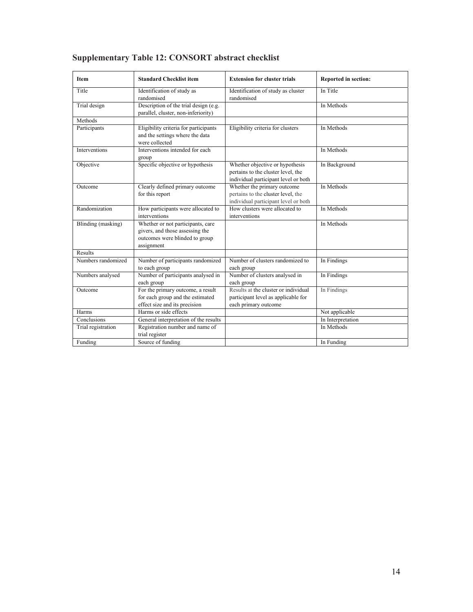| <b>Item</b>        | <b>Standard Checklist item</b>                                                                                       | <b>Extension for cluster trials</b>                                                                           | <b>Reported in section:</b> |  |
|--------------------|----------------------------------------------------------------------------------------------------------------------|---------------------------------------------------------------------------------------------------------------|-----------------------------|--|
| Title              | Identification of study as<br>randomised                                                                             | Identification of study as cluster<br>randomised                                                              | In Title                    |  |
| Trial design       | Description of the trial design (e.g.<br>parallel, cluster, non-inferiority)                                         |                                                                                                               | In Methods                  |  |
| Methods            |                                                                                                                      |                                                                                                               |                             |  |
| Participants       | Eligibility criteria for participants<br>and the settings where the data<br>were collected                           | Eligibility criteria for clusters                                                                             | In Methods                  |  |
| Interventions      | Interventions intended for each<br>group                                                                             |                                                                                                               | In Methods                  |  |
| Objective          | Specific objective or hypothesis                                                                                     | Whether objective or hypothesis<br>pertains to the cluster level, the<br>individual participant level or both | In Background               |  |
| Outcome            | Clearly defined primary outcome<br>for this report                                                                   | Whether the primary outcome<br>pertains to the cluster level, the<br>individual participant level or both     | In Methods                  |  |
| Randomization      | How participants were allocated to<br>interventions                                                                  | How clusters were allocated to<br>interventions                                                               | In Methods                  |  |
| Blinding (masking) | Whether or not participants, care<br>givers, and those assessing the<br>outcomes were blinded to group<br>assignment |                                                                                                               | In Methods                  |  |
| Results            |                                                                                                                      |                                                                                                               |                             |  |
| Numbers randomized | Number of participants randomized<br>to each group                                                                   | Number of clusters randomized to<br>each group                                                                | In Findings                 |  |
| Numbers analysed   | Number of participants analysed in<br>each group                                                                     | Number of clusters analysed in<br>each group                                                                  | In Findings                 |  |
| Outcome            | For the primary outcome, a result<br>for each group and the estimated<br>effect size and its precision               | Results at the cluster or individual<br>participant level as applicable for<br>each primary outcome           | In Findings                 |  |
| Harms              | Harms or side effects                                                                                                |                                                                                                               | Not applicable              |  |
| Conclusions        | General interpretation of the results                                                                                |                                                                                                               | In Interpretation           |  |
| Trial registration | Registration number and name of<br>trial register                                                                    |                                                                                                               | In Methods                  |  |
| Funding            | Source of funding                                                                                                    |                                                                                                               | In Funding                  |  |

# **Supplementary Table 12: CONSORT abstract checklist**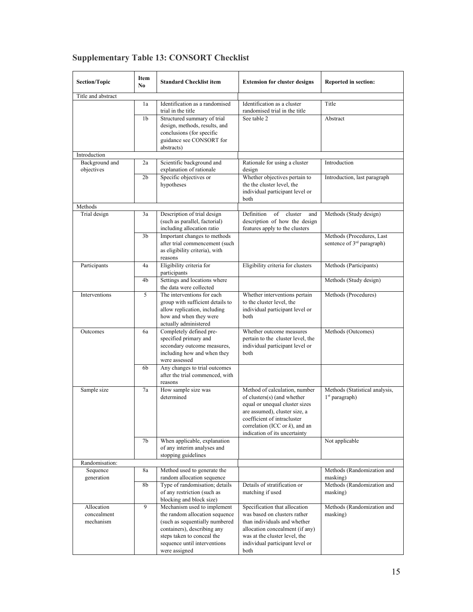| Section/Topic                          | Item<br><b>Standard Checklist item</b><br>No. |                                                                                                                                                                                                               | <b>Extension for cluster designs</b>                                                                                                                                                                                                 | Reported in section:                                                |
|----------------------------------------|-----------------------------------------------|---------------------------------------------------------------------------------------------------------------------------------------------------------------------------------------------------------------|--------------------------------------------------------------------------------------------------------------------------------------------------------------------------------------------------------------------------------------|---------------------------------------------------------------------|
| Title and abstract                     |                                               |                                                                                                                                                                                                               |                                                                                                                                                                                                                                      |                                                                     |
|                                        | 1a                                            | Identification as a randomised<br>trial in the title                                                                                                                                                          | Identification as a cluster<br>randomised trial in the title                                                                                                                                                                         | Title                                                               |
|                                        | 1 <sub>b</sub>                                | Structured summary of trial<br>design, methods, results, and<br>conclusions (for specific<br>guidance see CONSORT for<br>abstracts)                                                                           | See table 2                                                                                                                                                                                                                          | Abstract                                                            |
| Introduction                           |                                               |                                                                                                                                                                                                               |                                                                                                                                                                                                                                      |                                                                     |
| Background and<br>objectives           | 2a                                            | Scientific background and<br>explanation of rationale                                                                                                                                                         | Rationale for using a cluster<br>design                                                                                                                                                                                              | Introduction                                                        |
|                                        | 2 <sub>b</sub>                                | Specific objectives or<br>hypotheses                                                                                                                                                                          | Whether objectives pertain to<br>the the cluster level, the<br>individual participant level or<br>both                                                                                                                               | Introduction, last paragraph                                        |
| Methods                                |                                               |                                                                                                                                                                                                               |                                                                                                                                                                                                                                      |                                                                     |
| Trial design                           | 3a                                            | Description of trial design<br>(such as parallel, factorial)<br>including allocation ratio                                                                                                                    | Definition<br>of cluster<br>and<br>description of how the design<br>features apply to the clusters                                                                                                                                   | Methods (Study design)                                              |
|                                        | 3 <sub>b</sub>                                | Important changes to methods<br>after trial commencement (such<br>as eligibility criteria), with<br>reasons                                                                                                   |                                                                                                                                                                                                                                      | Methods (Procedures, Last<br>sentence of 3 <sup>rd</sup> paragraph) |
| Participants                           | 4a                                            | Eligibility criteria for<br>participants                                                                                                                                                                      | Eligibility criteria for clusters                                                                                                                                                                                                    | Methods (Participants)                                              |
|                                        | 4b                                            | Settings and locations where<br>the data were collected                                                                                                                                                       |                                                                                                                                                                                                                                      | Methods (Study design)                                              |
| Interventions                          | 5                                             | The interventions for each<br>group with sufficient details to<br>allow replication, including<br>how and when they were<br>actually administered                                                             | Whether interventions pertain<br>to the cluster level, the<br>individual participant level or<br>both                                                                                                                                | Methods (Procedures)                                                |
| Outcomes                               | 6a                                            | Completely defined pre-<br>specified primary and<br>secondary outcome measures,<br>including how and when they<br>were assessed                                                                               | Whether outcome measures<br>pertain to the cluster level, the<br>individual participant level or<br>both                                                                                                                             | Methods (Outcomes)                                                  |
|                                        | 6b                                            | Any changes to trial outcomes<br>after the trial commenced, with<br>reasons                                                                                                                                   |                                                                                                                                                                                                                                      |                                                                     |
| 7a<br>Sample size                      |                                               | How sample size was<br>determined                                                                                                                                                                             | Method of calculation, number<br>of clusters(s) (and whether<br>equal or unequal cluster sizes<br>are assumed), cluster size, a<br>coefficient of intracluster<br>correlation (ICC or $k$ ), and an<br>indication of its uncertainty | Methods (Statistical analysis,<br>1 <sup>st</sup> paragraph)        |
|                                        | 7b                                            | When applicable, explanation<br>of any interim analyses and<br>stopping guidelines                                                                                                                            |                                                                                                                                                                                                                                      | Not applicable                                                      |
| Randomisation:                         |                                               |                                                                                                                                                                                                               |                                                                                                                                                                                                                                      |                                                                     |
| Sequence<br>generation                 | 8a                                            | Method used to generate the<br>random allocation sequence                                                                                                                                                     |                                                                                                                                                                                                                                      | Methods (Randomization and<br>masking)                              |
|                                        | 8b                                            | Type of randomisation; details<br>of any restriction (such as<br>blocking and block size)                                                                                                                     | Details of stratification or<br>matching if used                                                                                                                                                                                     | Methods (Randomization and<br>masking)                              |
| Allocation<br>concealment<br>mechanism | 9                                             | Mechanism used to implement<br>the random allocation sequence<br>(such as sequentially numbered<br>containers), describing any<br>steps taken to conceal the<br>sequence until interventions<br>were assigned | Specification that allocation<br>was based on clusters rather<br>than individuals and whether<br>allocation concealment (if any)<br>was at the cluster level, the<br>individual participant level or<br>both                         | Methods (Randomization and<br>masking)                              |

# **Supplementary Table 13: CONSORT Checklist**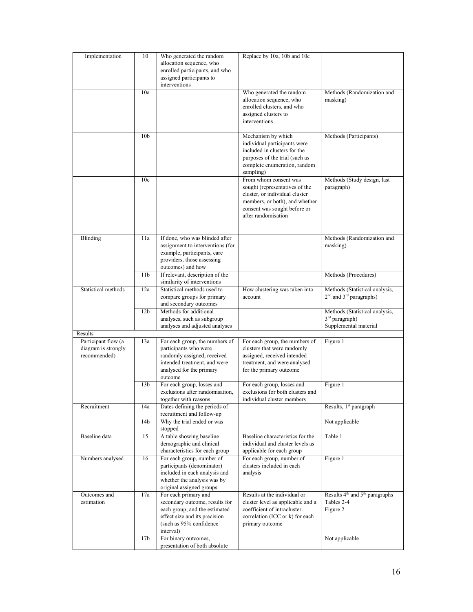| Implementation                                             | 10              | Who generated the random<br>allocation sequence, who<br>enrolled participants, and who<br>assigned participants to<br>interventions                              | Replace by 10a, 10b and 10c                                                                                                                                                        |                                                                                       |
|------------------------------------------------------------|-----------------|------------------------------------------------------------------------------------------------------------------------------------------------------------------|------------------------------------------------------------------------------------------------------------------------------------------------------------------------------------|---------------------------------------------------------------------------------------|
|                                                            | 10a             |                                                                                                                                                                  | Who generated the random<br>allocation sequence, who<br>enrolled clusters, and who<br>assigned clusters to<br>interventions                                                        | Methods (Randomization and<br>masking)                                                |
|                                                            | 10 <sub>b</sub> |                                                                                                                                                                  | Mechanism by which<br>individual participants were<br>included in clusters for the<br>purposes of the trial (such as<br>complete enumeration, random<br>sampling)                  | Methods (Participants)                                                                |
|                                                            | 10c             |                                                                                                                                                                  | From whom consent was<br>sought (representatives of the<br>cluster, or individual cluster<br>members, or both), and whether<br>consent was sought before or<br>after randomisation | Methods (Study design, last<br>paragraph)                                             |
| Blinding                                                   | 11a             | If done, who was blinded after<br>assignment to interventions (for<br>example, participants, care<br>providers, those assessing<br>outcomes) and how             |                                                                                                                                                                                    | Methods (Randomization and<br>masking)                                                |
|                                                            | 11b             | If relevant, description of the<br>similarity of interventions                                                                                                   |                                                                                                                                                                                    | Methods (Procedures)                                                                  |
| Statistical methods                                        | 12a             | Statistical methods used to<br>compare groups for primary<br>and secondary outcomes                                                                              | How clustering was taken into<br>account                                                                                                                                           | Methods (Statistical analysis,<br>2 <sup>nd</sup> and 3 <sup>rd</sup> paragraphs)     |
|                                                            | 12b             | Methods for additional<br>analyses, such as subgroup<br>analyses and adjusted analyses                                                                           |                                                                                                                                                                                    | Methods (Statistical analysis,<br>3 <sup>rd</sup> paragraph)<br>Supplemental material |
| Results                                                    |                 |                                                                                                                                                                  |                                                                                                                                                                                    |                                                                                       |
| Participant flow (a<br>diagram is strongly<br>recommended) | 13a             | For each group, the numbers of<br>participants who were<br>randomly assigned, received<br>intended treatment, and were<br>analysed for the primary<br>outcome    | For each group, the numbers of<br>clusters that were randomly<br>assigned, received intended<br>treatment, and were analysed<br>for the primary outcome                            | Figure 1                                                                              |
|                                                            | 13 <sub>b</sub> | For each group, losses and<br>exclusions after randomisation,<br>together with reasons                                                                           | For each group, losses and<br>exclusions for both clusters and<br>individual cluster members                                                                                       | Figure 1                                                                              |
| Recruitment                                                | 14a<br>14b      | Dates defining the periods of<br>recruitment and follow-up<br>Why the trial ended or was                                                                         |                                                                                                                                                                                    | Results, 1 <sup>st</sup> paragraph<br>Not applicable                                  |
|                                                            |                 | stopped                                                                                                                                                          |                                                                                                                                                                                    |                                                                                       |
| Baseline data                                              | 15              | A table showing baseline<br>demographic and clinical<br>characteristics for each group                                                                           | Baseline characteristics for the<br>individual and cluster levels as<br>applicable for each group                                                                                  | Table 1                                                                               |
| Numbers analysed                                           | 16              | For each group, number of<br>participants (denominator)<br>included in each analysis and<br>whether the analysis was by<br>original assigned groups              | For each group, number of<br>clusters included in each<br>analysis                                                                                                                 | Figure 1                                                                              |
| Outcomes and<br>estimation                                 | 17a             | For each primary and<br>secondary outcome, results for<br>each group, and the estimated<br>effect size and its precision<br>(such as 95% confidence<br>interval) | Results at the individual or<br>cluster level as applicable and a<br>coefficient of intracluster<br>correlation (ICC or k) for each<br>primary outcome                             | Results 4 <sup>th</sup> and 5 <sup>th</sup> paragraphs<br>Tables 2-4<br>Figure 2      |
|                                                            | 17 <sub>b</sub> | For binary outcomes,<br>presentation of both absolute                                                                                                            |                                                                                                                                                                                    | Not applicable                                                                        |